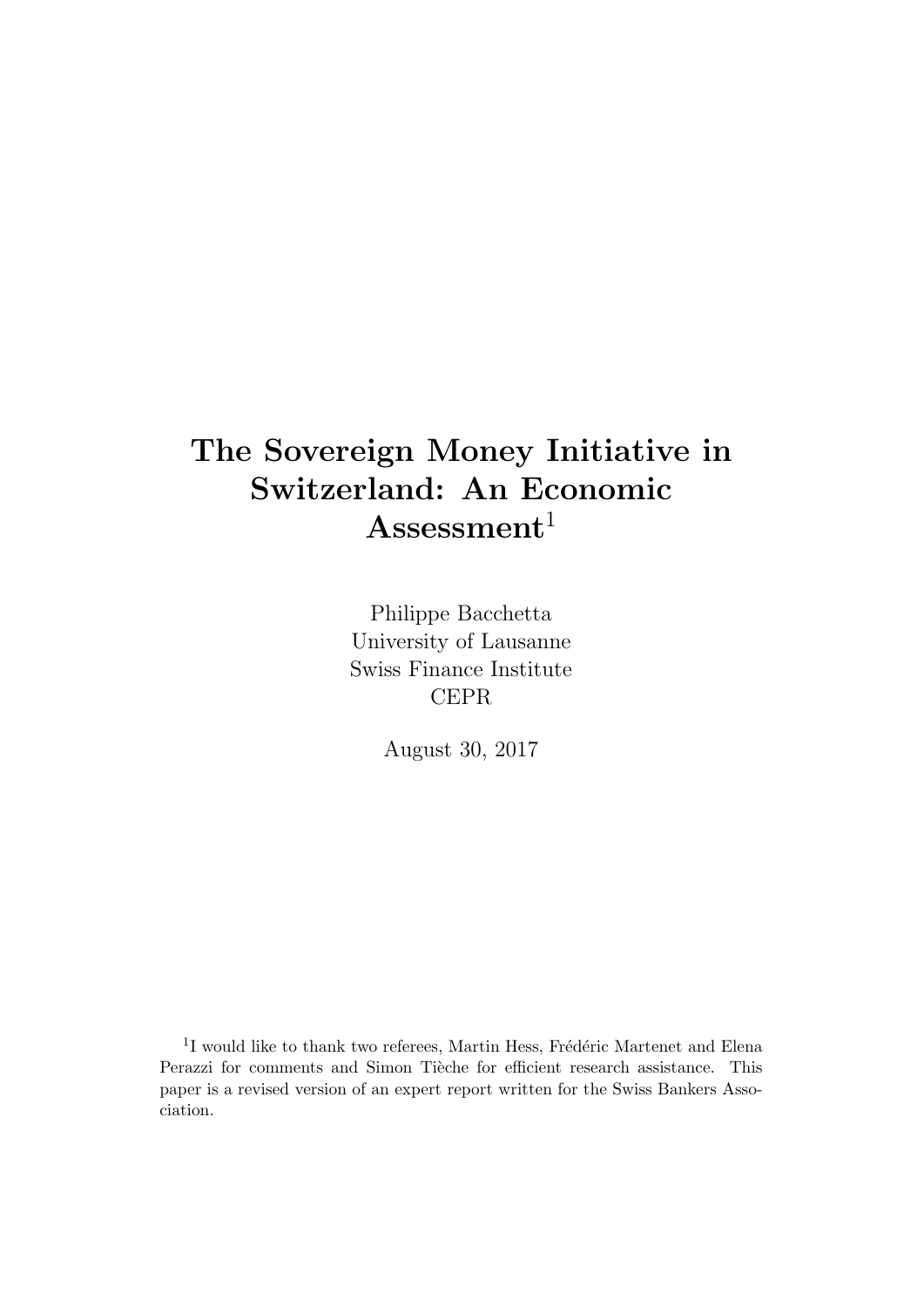# The Sovereign Money Initiative in Switzerland: An Economic  $\mathbf{Assessment}^1$

Philippe Bacchetta University of Lausanne Swiss Finance Institute CEPR

August 30, 2017

<sup>1</sup>I would like to thank two referees, Martin Hess, Frédéric Martenet and Elena Perazzi for comments and Simon Tièche for efficient research assistance. This paper is a revised version of an expert report written for the Swiss Bankers Association.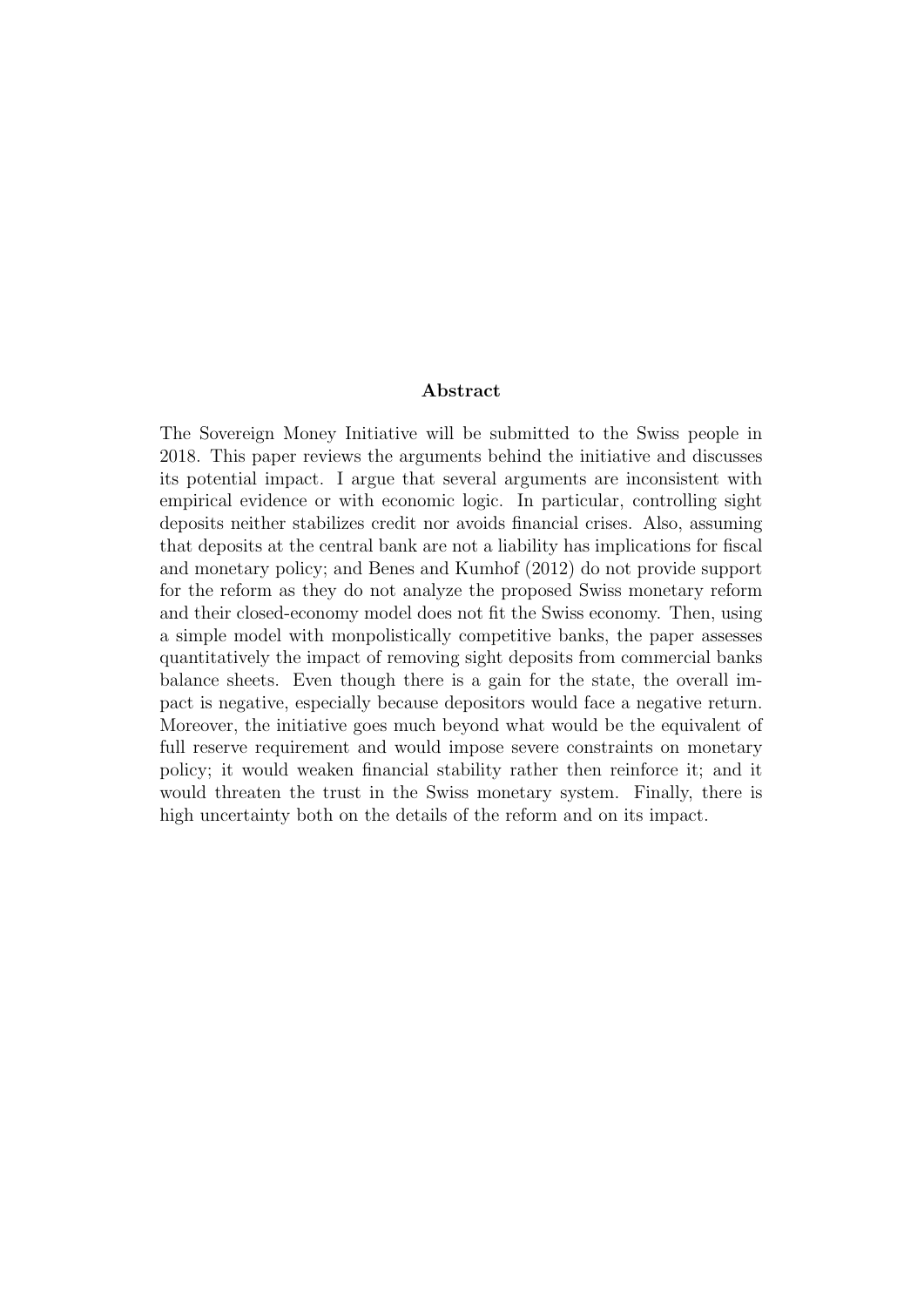#### Abstract

The Sovereign Money Initiative will be submitted to the Swiss people in 2018. This paper reviews the arguments behind the initiative and discusses its potential impact. I argue that several arguments are inconsistent with empirical evidence or with economic logic. In particular, controlling sight deposits neither stabilizes credit nor avoids financial crises. Also, assuming that deposits at the central bank are not a liability has implications for fiscal and monetary policy; and Benes and Kumhof (2012) do not provide support for the reform as they do not analyze the proposed Swiss monetary reform and their closed-economy model does not fit the Swiss economy. Then, using a simple model with monpolistically competitive banks, the paper assesses quantitatively the impact of removing sight deposits from commercial banks balance sheets. Even though there is a gain for the state, the overall impact is negative, especially because depositors would face a negative return. Moreover, the initiative goes much beyond what would be the equivalent of full reserve requirement and would impose severe constraints on monetary policy; it would weaken financial stability rather then reinforce it; and it would threaten the trust in the Swiss monetary system. Finally, there is high uncertainty both on the details of the reform and on its impact.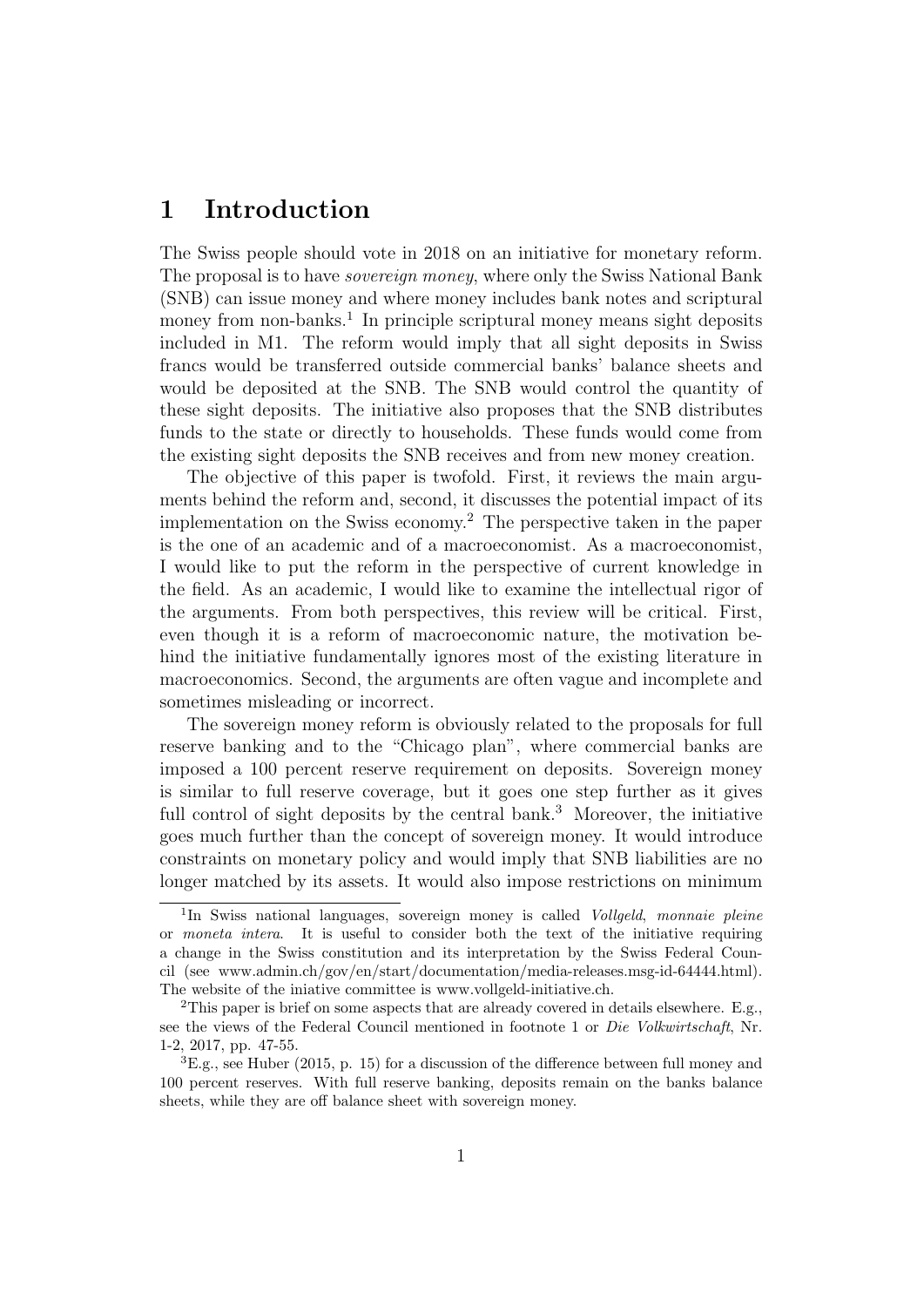# 1 Introduction

The Swiss people should vote in 2018 on an initiative for monetary reform. The proposal is to have sovereign money, where only the Swiss National Bank (SNB) can issue money and where money includes bank notes and scriptural money from non-banks.<sup>1</sup> In principle scriptural money means sight deposits included in M1. The reform would imply that all sight deposits in Swiss francs would be transferred outside commercial banks' balance sheets and would be deposited at the SNB. The SNB would control the quantity of these sight deposits. The initiative also proposes that the SNB distributes funds to the state or directly to households. These funds would come from the existing sight deposits the SNB receives and from new money creation.

The objective of this paper is twofold. First, it reviews the main arguments behind the reform and, second, it discusses the potential impact of its implementation on the Swiss economy.<sup>2</sup> The perspective taken in the paper is the one of an academic and of a macroeconomist. As a macroeconomist, I would like to put the reform in the perspective of current knowledge in the field. As an academic, I would like to examine the intellectual rigor of the arguments. From both perspectives, this review will be critical. First, even though it is a reform of macroeconomic nature, the motivation behind the initiative fundamentally ignores most of the existing literature in macroeconomics. Second, the arguments are often vague and incomplete and sometimes misleading or incorrect.

The sovereign money reform is obviously related to the proposals for full reserve banking and to the "Chicago plan", where commercial banks are imposed a 100 percent reserve requirement on deposits. Sovereign money is similar to full reserve coverage, but it goes one step further as it gives full control of sight deposits by the central bank.<sup>3</sup> Moreover, the initiative goes much further than the concept of sovereign money. It would introduce constraints on monetary policy and would imply that SNB liabilities are no longer matched by its assets. It would also impose restrictions on minimum

<sup>&</sup>lt;sup>1</sup>In Swiss national languages, sovereign money is called Vollgeld, monnaie pleine or moneta intera. It is useful to consider both the text of the initiative requiring a change in the Swiss constitution and its interpretation by the Swiss Federal Council (see www.admin.ch/gov/en/start/documentation/media-releases.msg-id-64444.html). The website of the iniative committee is www.vollgeld-initiative.ch.

<sup>2</sup>This paper is brief on some aspects that are already covered in details elsewhere. E.g., see the views of the Federal Council mentioned in footnote 1 or Die Volkwirtschaft, Nr. 1-2, 2017, pp. 47-55.

 ${}^{3}E.g.,$  see Huber (2015, p. 15) for a discussion of the difference between full money and 100 percent reserves. With full reserve banking, deposits remain on the banks balance sheets, while they are off balance sheet with sovereign money.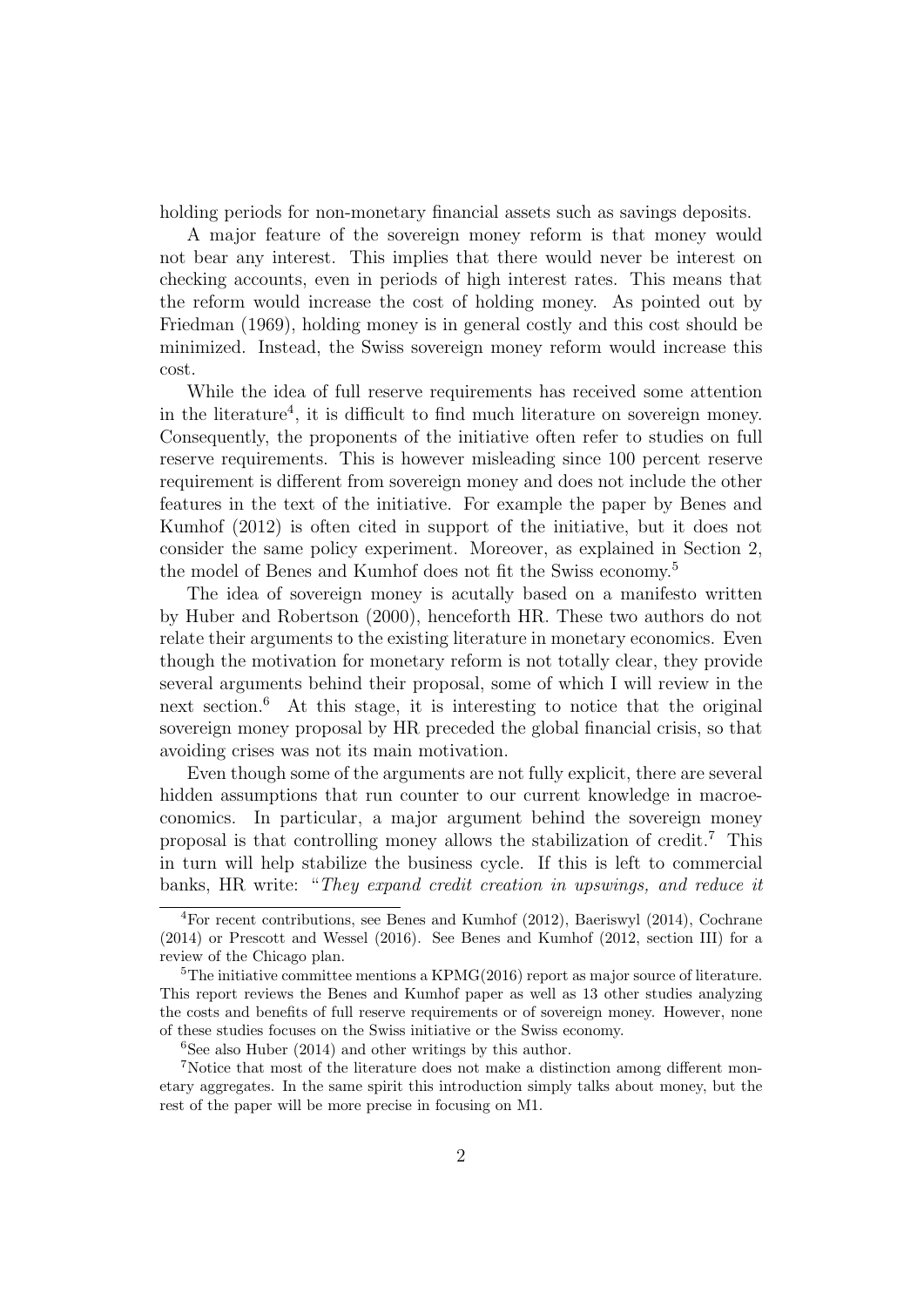holding periods for non-monetary financial assets such as savings deposits.

A major feature of the sovereign money reform is that money would not bear any interest. This implies that there would never be interest on checking accounts, even in periods of high interest rates. This means that the reform would increase the cost of holding money. As pointed out by Friedman (1969), holding money is in general costly and this cost should be minimized. Instead, the Swiss sovereign money reform would increase this cost.

While the idea of full reserve requirements has received some attention in the literature<sup>4</sup> , it is difficult to find much literature on sovereign money. Consequently, the proponents of the initiative often refer to studies on full reserve requirements. This is however misleading since 100 percent reserve requirement is different from sovereign money and does not include the other features in the text of the initiative. For example the paper by Benes and Kumhof (2012) is often cited in support of the initiative, but it does not consider the same policy experiment. Moreover, as explained in Section 2, the model of Benes and Kumhof does not fit the Swiss economy.<sup>5</sup>

The idea of sovereign money is acutally based on a manifesto written by Huber and Robertson (2000), henceforth HR. These two authors do not relate their arguments to the existing literature in monetary economics. Even though the motivation for monetary reform is not totally clear, they provide several arguments behind their proposal, some of which I will review in the next section. $6$  At this stage, it is interesting to notice that the original sovereign money proposal by HR preceded the global financial crisis, so that avoiding crises was not its main motivation.

Even though some of the arguments are not fully explicit, there are several hidden assumptions that run counter to our current knowledge in macroeconomics. In particular, a major argument behind the sovereign money proposal is that controlling money allows the stabilization of credit.<sup>7</sup> This in turn will help stabilize the business cycle. If this is left to commercial banks, HR write: "They expand credit creation in upswings, and reduce it

 ${}^{4}$ For recent contributions, see Benes and Kumhof (2012), Baeriswyl (2014), Cochrane (2014) or Prescott and Wessel (2016). See Benes and Kumhof (2012, section III) for a review of the Chicago plan.

 ${}^{5}$ The initiative committee mentions a KPMG $(2016)$  report as major source of literature. This report reviews the Benes and Kumhof paper as well as 13 other studies analyzing the costs and benefits of full reserve requirements or of sovereign money. However, none of these studies focuses on the Swiss initiative or the Swiss economy.

 ${}^{6}$ See also Huber (2014) and other writings by this author.

<sup>7</sup>Notice that most of the literature does not make a distinction among different monetary aggregates. In the same spirit this introduction simply talks about money, but the rest of the paper will be more precise in focusing on M1.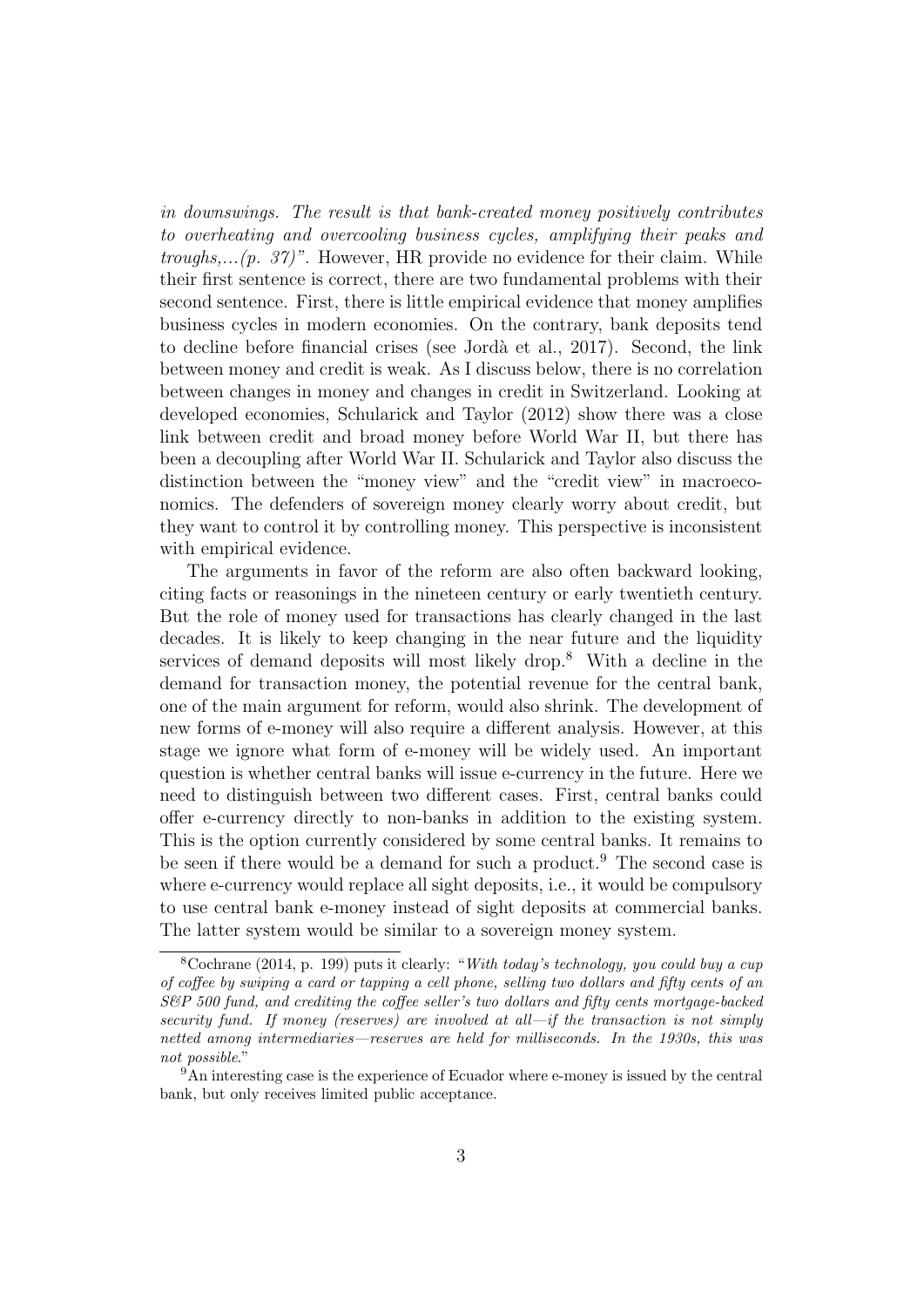in downswings. The result is that bank-created money positively contributes to overheating and overcooling business cycles, amplifying their peaks and *troughs,...* $(p. 37)$ ". However, HR provide no evidence for their claim. While their first sentence is correct, there are two fundamental problems with their second sentence. First, there is little empirical evidence that money amplifies business cycles in modern economies. On the contrary, bank deposits tend to decline before financial crises (see Jordà et al., 2017). Second, the link between money and credit is weak. As I discuss below, there is no correlation between changes in money and changes in credit in Switzerland. Looking at developed economies, Schularick and Taylor (2012) show there was a close link between credit and broad money before World War II, but there has been a decoupling after World War II. Schularick and Taylor also discuss the distinction between the "money view" and the "credit view" in macroeconomics. The defenders of sovereign money clearly worry about credit, but they want to control it by controlling money. This perspective is inconsistent with empirical evidence.

The arguments in favor of the reform are also often backward looking, citing facts or reasonings in the nineteen century or early twentieth century. But the role of money used for transactions has clearly changed in the last decades. It is likely to keep changing in the near future and the liquidity services of demand deposits will most likely drop.<sup>8</sup> With a decline in the demand for transaction money, the potential revenue for the central bank, one of the main argument for reform, would also shrink. The development of new forms of e-money will also require a different analysis. However, at this stage we ignore what form of e-money will be widely used. An important question is whether central banks will issue e-currency in the future. Here we need to distinguish between two different cases. First, central banks could offer e-currency directly to non-banks in addition to the existing system. This is the option currently considered by some central banks. It remains to be seen if there would be a demand for such a product.<sup>9</sup> The second case is where e-currency would replace all sight deposits, i.e., it would be compulsory to use central bank e-money instead of sight deposits at commercial banks. The latter system would be similar to a sovereign money system.

 $8Coch$  and  $(2014, p. 199)$  puts it clearly: "With today's technology, you could buy a cup of coffee by swiping a card or tapping a cell phone, selling two dollars and fifty cents of an S&P 500 fund, and crediting the coffee seller's two dollars and fifty cents mortgage-backed security fund. If money (reserves) are involved at all—if the transaction is not simply netted among intermediaries—reserves are held for milliseconds. In the 1930s, this was not possible."

<sup>&</sup>lt;sup>9</sup>An interesting case is the experience of Ecuador where e-money is issued by the central bank, but only receives limited public acceptance.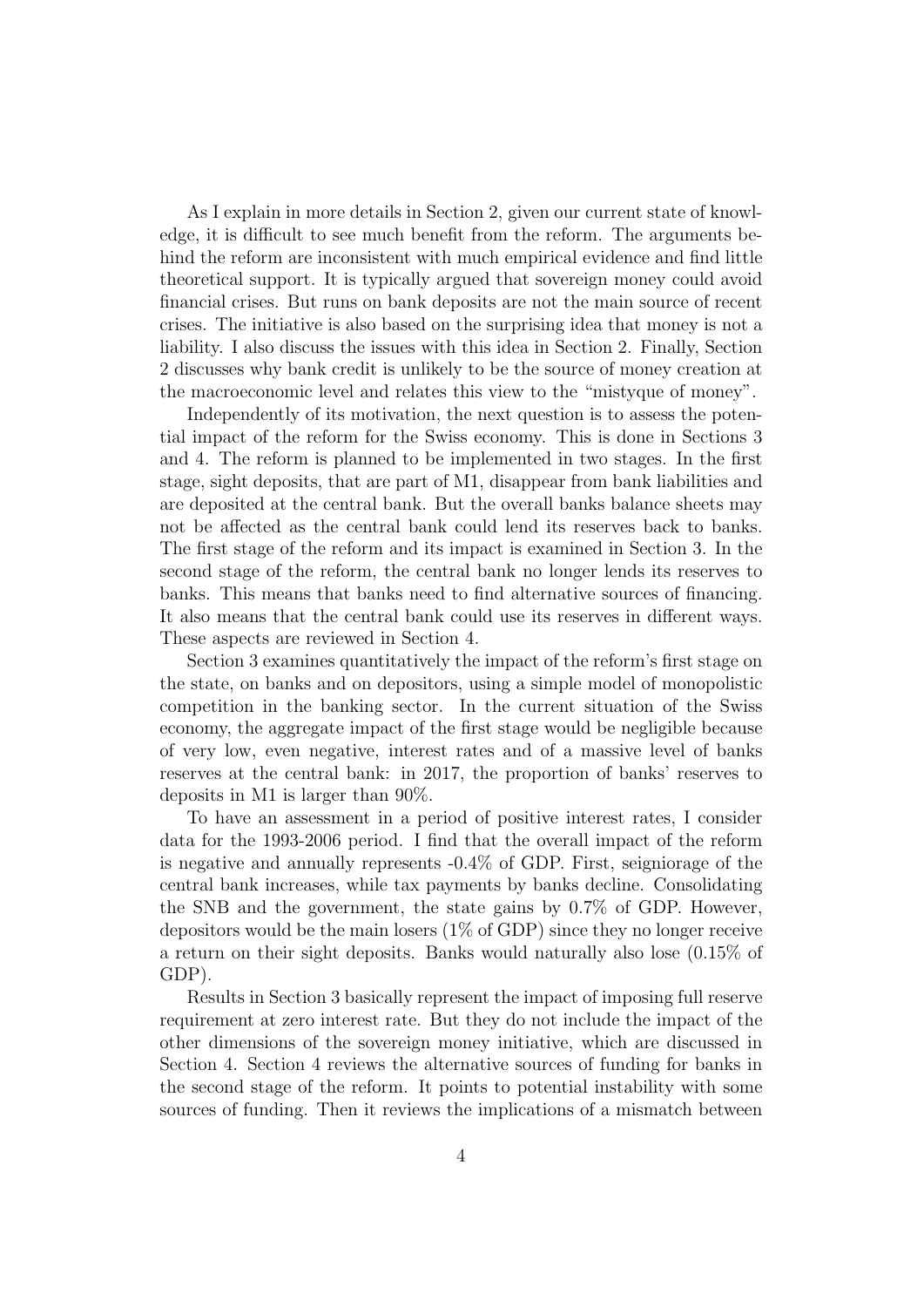As I explain in more details in Section 2, given our current state of knowledge, it is difficult to see much benefit from the reform. The arguments behind the reform are inconsistent with much empirical evidence and find little theoretical support. It is typically argued that sovereign money could avoid financial crises. But runs on bank deposits are not the main source of recent crises. The initiative is also based on the surprising idea that money is not a liability. I also discuss the issues with this idea in Section 2. Finally, Section 2 discusses why bank credit is unlikely to be the source of money creation at the macroeconomic level and relates this view to the "mistyque of money".

Independently of its motivation, the next question is to assess the potential impact of the reform for the Swiss economy. This is done in Sections 3 and 4. The reform is planned to be implemented in two stages. In the first stage, sight deposits, that are part of M1, disappear from bank liabilities and are deposited at the central bank. But the overall banks balance sheets may not be affected as the central bank could lend its reserves back to banks. The first stage of the reform and its impact is examined in Section 3. In the second stage of the reform, the central bank no longer lends its reserves to banks. This means that banks need to find alternative sources of financing. It also means that the central bank could use its reserves in different ways. These aspects are reviewed in Section 4.

Section 3 examines quantitatively the impact of the reform's first stage on the state, on banks and on depositors, using a simple model of monopolistic competition in the banking sector. In the current situation of the Swiss economy, the aggregate impact of the first stage would be negligible because of very low, even negative, interest rates and of a massive level of banks reserves at the central bank: in 2017, the proportion of banks' reserves to deposits in M1 is larger than 90%.

To have an assessment in a period of positive interest rates, I consider data for the 1993-2006 period. I find that the overall impact of the reform is negative and annually represents -0.4% of GDP. First, seigniorage of the central bank increases, while tax payments by banks decline. Consolidating the SNB and the government, the state gains by 0.7% of GDP. However, depositors would be the main losers (1% of GDP) since they no longer receive a return on their sight deposits. Banks would naturally also lose (0.15% of GDP).

Results in Section 3 basically represent the impact of imposing full reserve requirement at zero interest rate. But they do not include the impact of the other dimensions of the sovereign money initiative, which are discussed in Section 4. Section 4 reviews the alternative sources of funding for banks in the second stage of the reform. It points to potential instability with some sources of funding. Then it reviews the implications of a mismatch between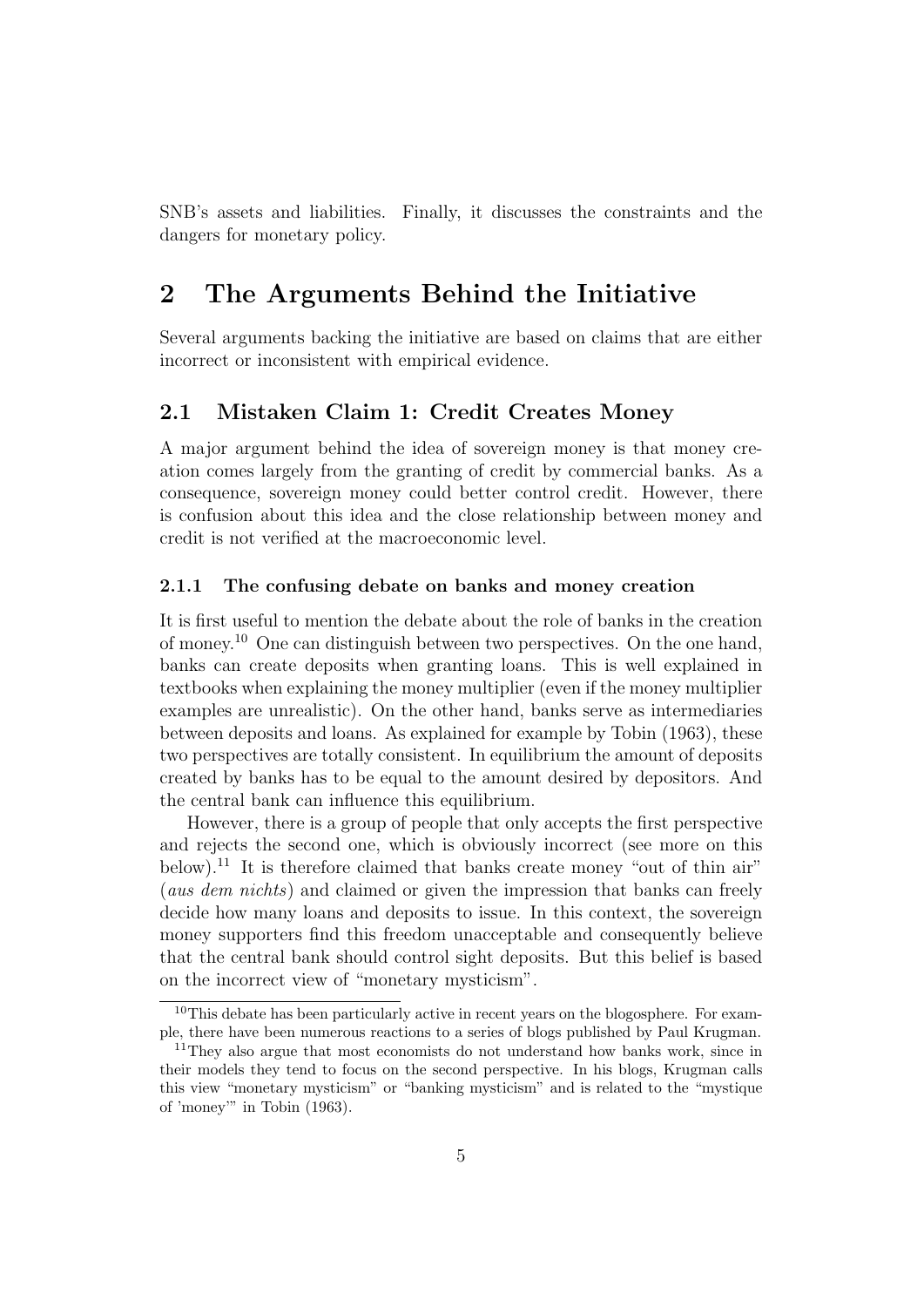SNB's assets and liabilities. Finally, it discusses the constraints and the dangers for monetary policy.

# 2 The Arguments Behind the Initiative

Several arguments backing the initiative are based on claims that are either incorrect or inconsistent with empirical evidence.

## 2.1 Mistaken Claim 1: Credit Creates Money

A major argument behind the idea of sovereign money is that money creation comes largely from the granting of credit by commercial banks. As a consequence, sovereign money could better control credit. However, there is confusion about this idea and the close relationship between money and credit is not verified at the macroeconomic level.

## 2.1.1 The confusing debate on banks and money creation

It is first useful to mention the debate about the role of banks in the creation of money.<sup>10</sup> One can distinguish between two perspectives. On the one hand, banks can create deposits when granting loans. This is well explained in textbooks when explaining the money multiplier (even if the money multiplier examples are unrealistic). On the other hand, banks serve as intermediaries between deposits and loans. As explained for example by Tobin (1963), these two perspectives are totally consistent. In equilibrium the amount of deposits created by banks has to be equal to the amount desired by depositors. And the central bank can influence this equilibrium.

However, there is a group of people that only accepts the first perspective and rejects the second one, which is obviously incorrect (see more on this below).<sup>11</sup> It is therefore claimed that banks create money "out of thin air" (aus dem nichts) and claimed or given the impression that banks can freely decide how many loans and deposits to issue. In this context, the sovereign money supporters find this freedom unacceptable and consequently believe that the central bank should control sight deposits. But this belief is based on the incorrect view of "monetary mysticism".

<sup>&</sup>lt;sup>10</sup>This debate has been particularly active in recent years on the blogosphere. For example, there have been numerous reactions to a series of blogs published by Paul Krugman.

<sup>&</sup>lt;sup>11</sup>They also argue that most economists do not understand how banks work, since in their models they tend to focus on the second perspective. In his blogs, Krugman calls this view "monetary mysticism" or "banking mysticism" and is related to the "mystique of 'money'" in Tobin (1963).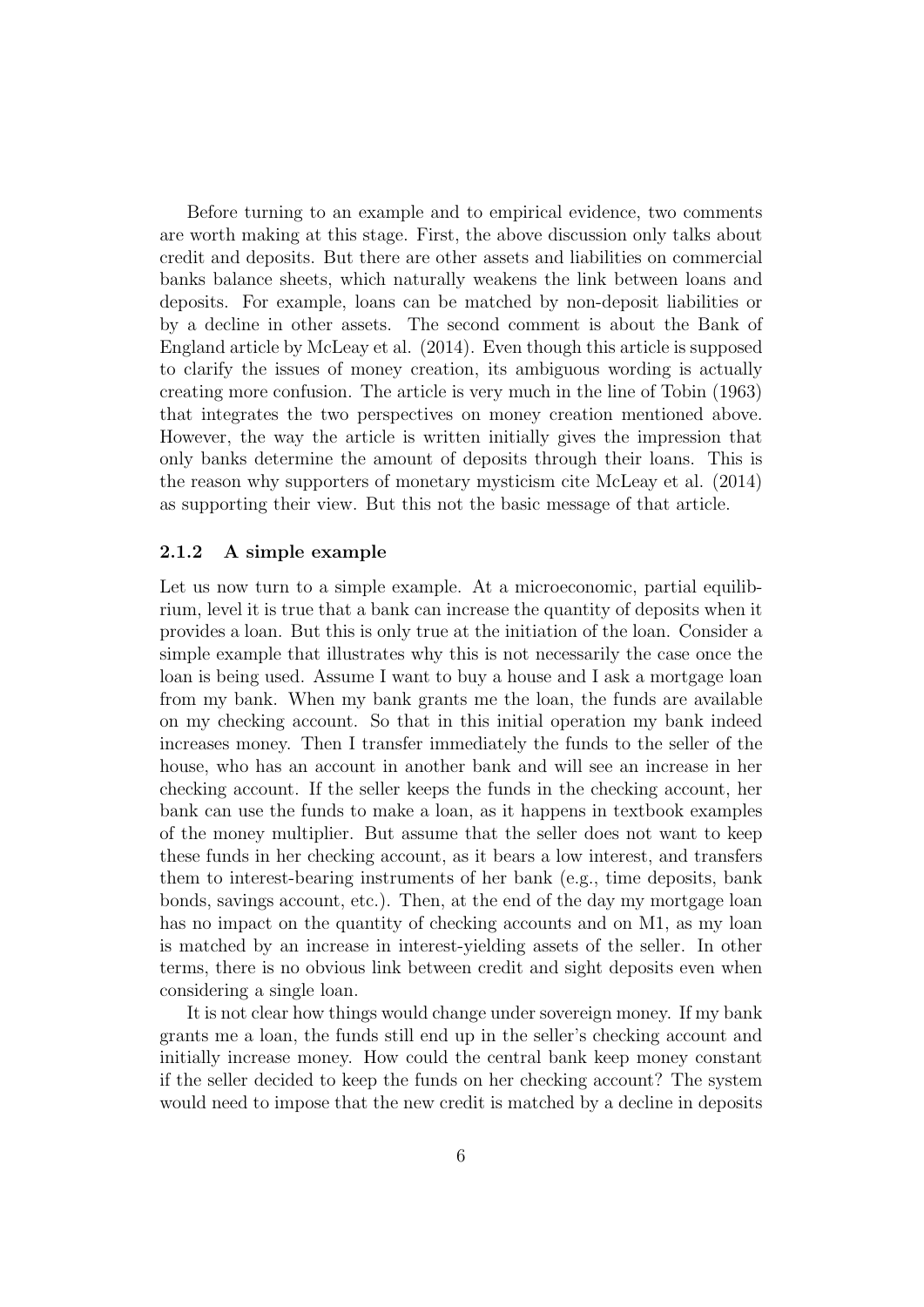Before turning to an example and to empirical evidence, two comments are worth making at this stage. First, the above discussion only talks about credit and deposits. But there are other assets and liabilities on commercial banks balance sheets, which naturally weakens the link between loans and deposits. For example, loans can be matched by non-deposit liabilities or by a decline in other assets. The second comment is about the Bank of England article by McLeay et al. (2014). Even though this article is supposed to clarify the issues of money creation, its ambiguous wording is actually creating more confusion. The article is very much in the line of Tobin (1963) that integrates the two perspectives on money creation mentioned above. However, the way the article is written initially gives the impression that only banks determine the amount of deposits through their loans. This is the reason why supporters of monetary mysticism cite McLeay et al. (2014) as supporting their view. But this not the basic message of that article.

#### 2.1.2 A simple example

Let us now turn to a simple example. At a microeconomic, partial equilibrium, level it is true that a bank can increase the quantity of deposits when it provides a loan. But this is only true at the initiation of the loan. Consider a simple example that illustrates why this is not necessarily the case once the loan is being used. Assume I want to buy a house and I ask a mortgage loan from my bank. When my bank grants me the loan, the funds are available on my checking account. So that in this initial operation my bank indeed increases money. Then I transfer immediately the funds to the seller of the house, who has an account in another bank and will see an increase in her checking account. If the seller keeps the funds in the checking account, her bank can use the funds to make a loan, as it happens in textbook examples of the money multiplier. But assume that the seller does not want to keep these funds in her checking account, as it bears a low interest, and transfers them to interest-bearing instruments of her bank (e.g., time deposits, bank bonds, savings account, etc.). Then, at the end of the day my mortgage loan has no impact on the quantity of checking accounts and on M1, as my loan is matched by an increase in interest-yielding assets of the seller. In other terms, there is no obvious link between credit and sight deposits even when considering a single loan.

It is not clear how things would change under sovereign money. If my bank grants me a loan, the funds still end up in the seller's checking account and initially increase money. How could the central bank keep money constant if the seller decided to keep the funds on her checking account? The system would need to impose that the new credit is matched by a decline in deposits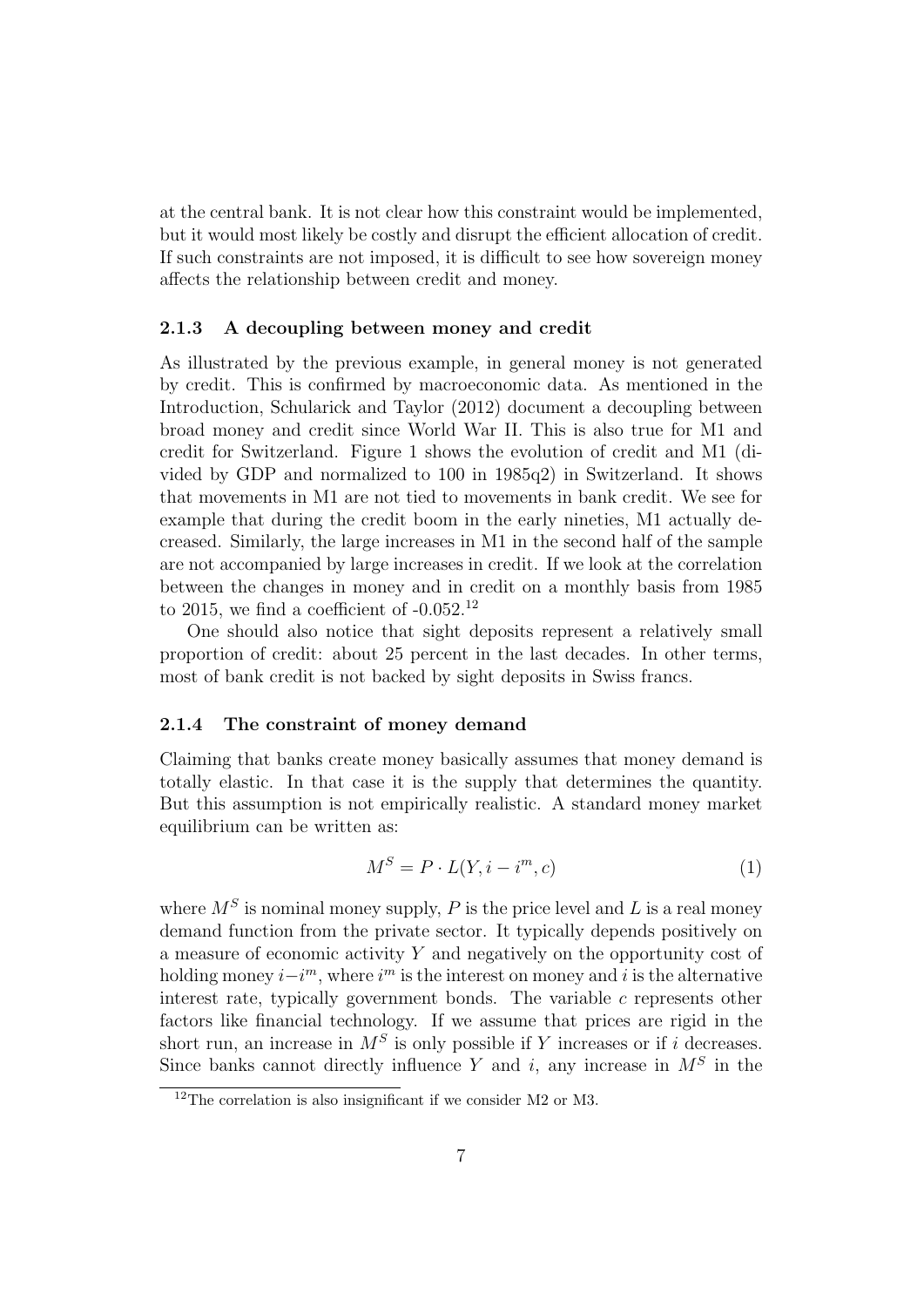at the central bank. It is not clear how this constraint would be implemented, but it would most likely be costly and disrupt the efficient allocation of credit. If such constraints are not imposed, it is difficult to see how sovereign money affects the relationship between credit and money.

#### 2.1.3 A decoupling between money and credit

As illustrated by the previous example, in general money is not generated by credit. This is confirmed by macroeconomic data. As mentioned in the Introduction, Schularick and Taylor (2012) document a decoupling between broad money and credit since World War II. This is also true for M1 and credit for Switzerland. Figure 1 shows the evolution of credit and M1 (divided by GDP and normalized to 100 in 1985q2) in Switzerland. It shows that movements in M1 are not tied to movements in bank credit. We see for example that during the credit boom in the early nineties, M1 actually decreased. Similarly, the large increases in M1 in the second half of the sample are not accompanied by large increases in credit. If we look at the correlation between the changes in money and in credit on a monthly basis from 1985 to 2015, we find a coefficient of  $-0.052$ .<sup>12</sup>

One should also notice that sight deposits represent a relatively small proportion of credit: about 25 percent in the last decades. In other terms, most of bank credit is not backed by sight deposits in Swiss francs.

### 2.1.4 The constraint of money demand

Claiming that banks create money basically assumes that money demand is totally elastic. In that case it is the supply that determines the quantity. But this assumption is not empirically realistic. A standard money market equilibrium can be written as:

$$
M^S = P \cdot L(Y, i - i^m, c) \tag{1}
$$

where  $M^S$  is nominal money supply, P is the price level and L is a real money demand function from the private sector. It typically depends positively on a measure of economic activity Y and negatively on the opportunity cost of holding money  $i-i^m$ , where  $i^m$  is the interest on money and i is the alternative interest rate, typically government bonds. The variable  $c$  represents other factors like financial technology. If we assume that prices are rigid in the short run, an increase in  $M<sup>S</sup>$  is only possible if Y increases or if i decreases. Since banks cannot directly influence Y and i, any increase in  $M<sup>S</sup>$  in the

 $12$ The correlation is also insignificant if we consider M2 or M3.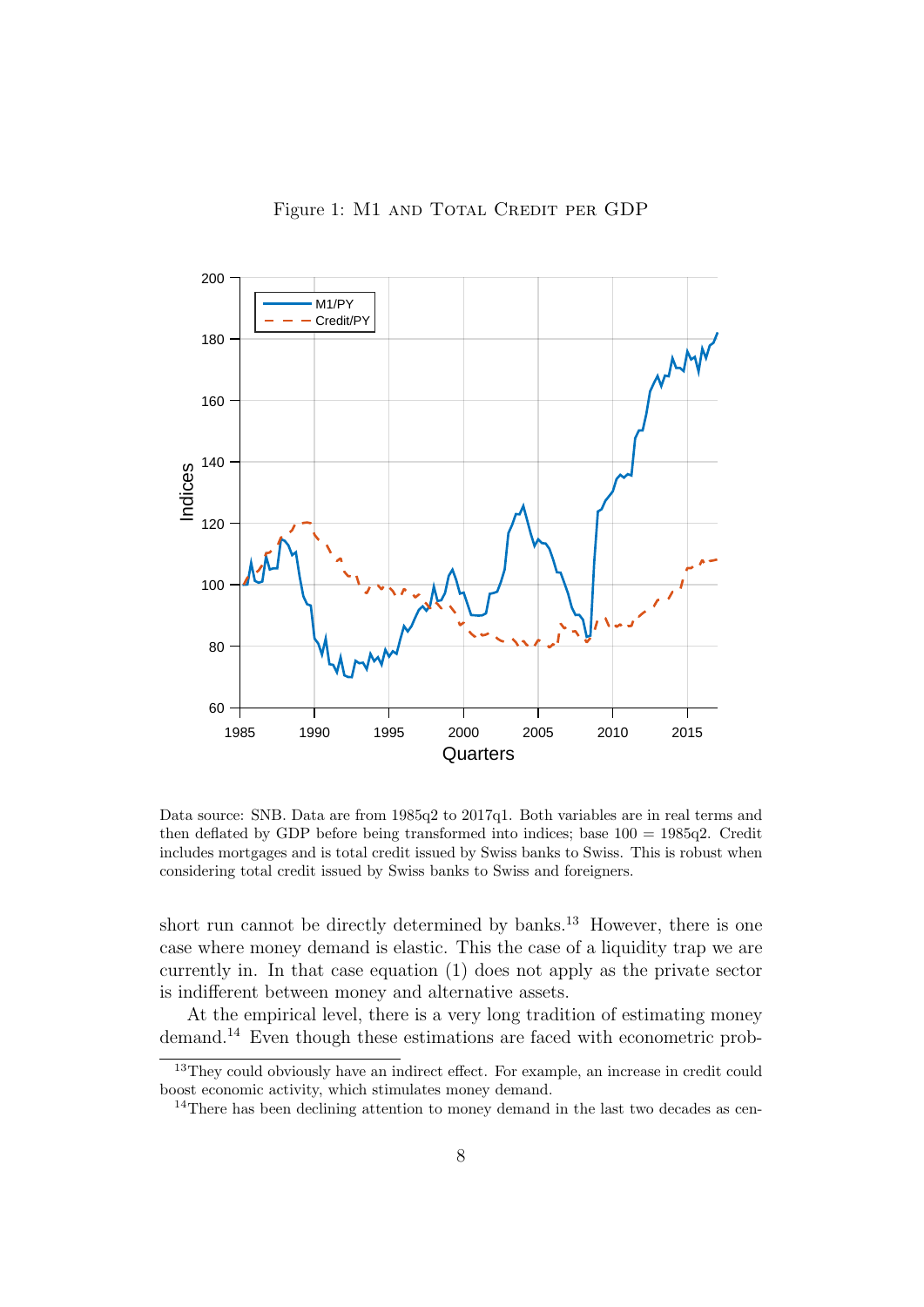Figure 1: M1 AND TOTAL CREDIT PER GDP



Data source: SNB. Data are from 1985q2 to 2017q1. Both variables are in real terms and then deflated by GDP before being transformed into indices; base 100 = 1985q2. Credit includes mortgages and is total credit issued by Swiss banks to Swiss. This is robust when considering total credit issued by Swiss banks to Swiss and foreigners.

short run cannot be directly determined by banks.<sup>13</sup> However, there is one case where money demand is elastic. This the case of a liquidity trap we are currently in. In that case equation (1) does not apply as the private sector is indifferent between money and alternative assets.

At the empirical level, there is a very long tradition of estimating money demand.<sup>14</sup> Even though these estimations are faced with econometric prob-

<sup>&</sup>lt;sup>13</sup>They could obviously have an indirect effect. For example, an increase in credit could boost economic activity, which stimulates money demand.

<sup>&</sup>lt;sup>14</sup>There has been declining attention to money demand in the last two decades as cen-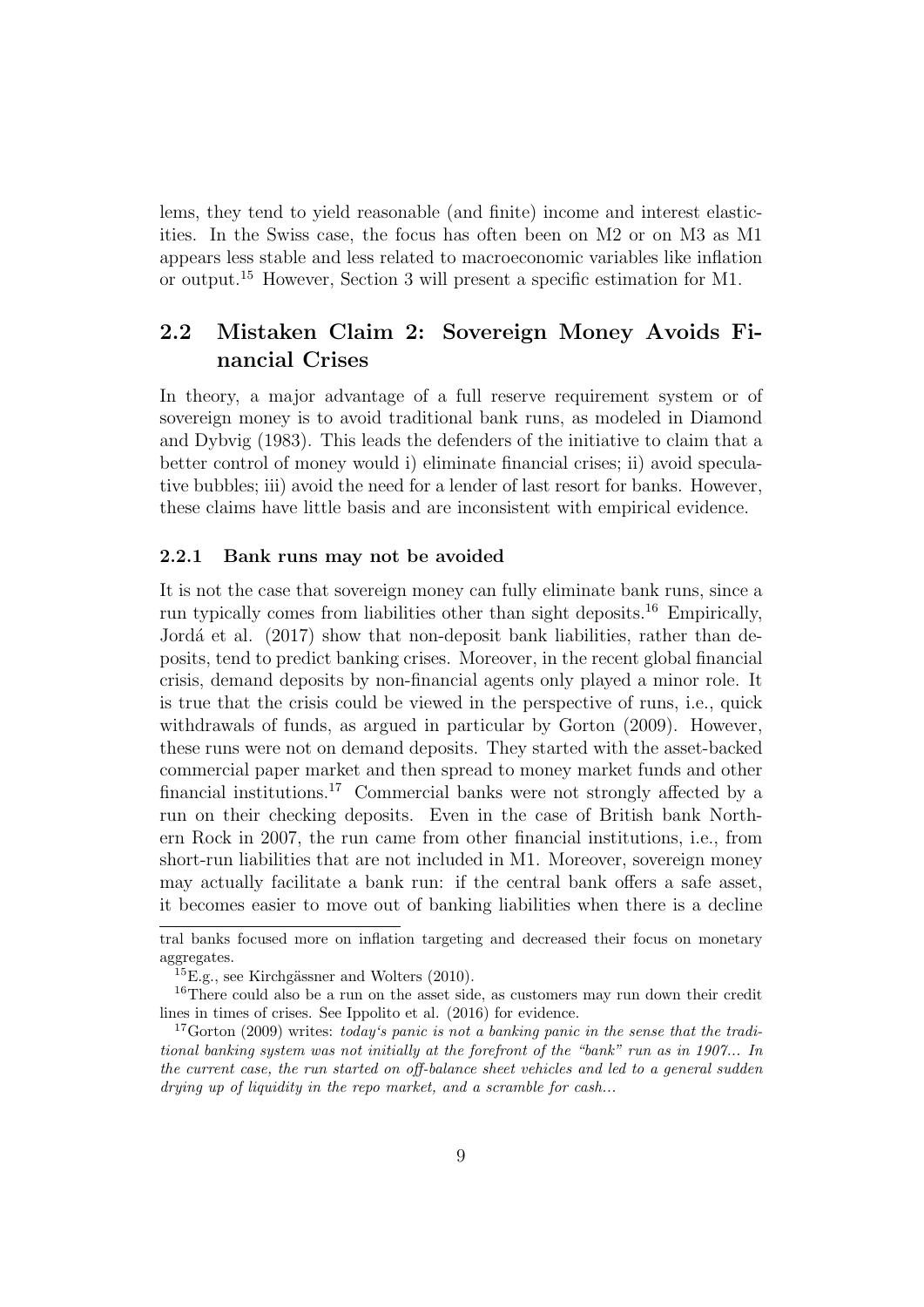lems, they tend to yield reasonable (and finite) income and interest elasticities. In the Swiss case, the focus has often been on M2 or on M3 as M1 appears less stable and less related to macroeconomic variables like inflation or output.<sup>15</sup> However, Section 3 will present a specific estimation for M1.

## 2.2 Mistaken Claim 2: Sovereign Money Avoids Financial Crises

In theory, a major advantage of a full reserve requirement system or of sovereign money is to avoid traditional bank runs, as modeled in Diamond and Dybvig (1983). This leads the defenders of the initiative to claim that a better control of money would i) eliminate financial crises; ii) avoid speculative bubbles; iii) avoid the need for a lender of last resort for banks. However, these claims have little basis and are inconsistent with empirical evidence.

#### 2.2.1 Bank runs may not be avoided

It is not the case that sovereign money can fully eliminate bank runs, since a run typically comes from liabilities other than sight deposits.<sup>16</sup> Empirically, Jordá et al. (2017) show that non-deposit bank liabilities, rather than deposits, tend to predict banking crises. Moreover, in the recent global financial crisis, demand deposits by non-financial agents only played a minor role. It is true that the crisis could be viewed in the perspective of runs, i.e., quick withdrawals of funds, as argued in particular by Gorton (2009). However, these runs were not on demand deposits. They started with the asset-backed commercial paper market and then spread to money market funds and other financial institutions.<sup>17</sup> Commercial banks were not strongly affected by a run on their checking deposits. Even in the case of British bank Northern Rock in 2007, the run came from other financial institutions, i.e., from short-run liabilities that are not included in M1. Moreover, sovereign money may actually facilitate a bank run: if the central bank offers a safe asset, it becomes easier to move out of banking liabilities when there is a decline

tral banks focused more on inflation targeting and decreased their focus on monetary aggregates.

 ${}^{15}E.g.,$  see Kirchgässner and Wolters (2010).

<sup>&</sup>lt;sup>16</sup>There could also be a run on the asset side, as customers may run down their credit lines in times of crises. See Ippolito et al. (2016) for evidence.

<sup>&</sup>lt;sup>17</sup>Gorton (2009) writes: *today's panic is not a banking panic in the sense that the tradi*tional banking system was not initially at the forefront of the "bank" run as in 1907... In the current case, the run started on off-balance sheet vehicles and led to a general sudden drying up of liquidity in the repo market, and a scramble for cash...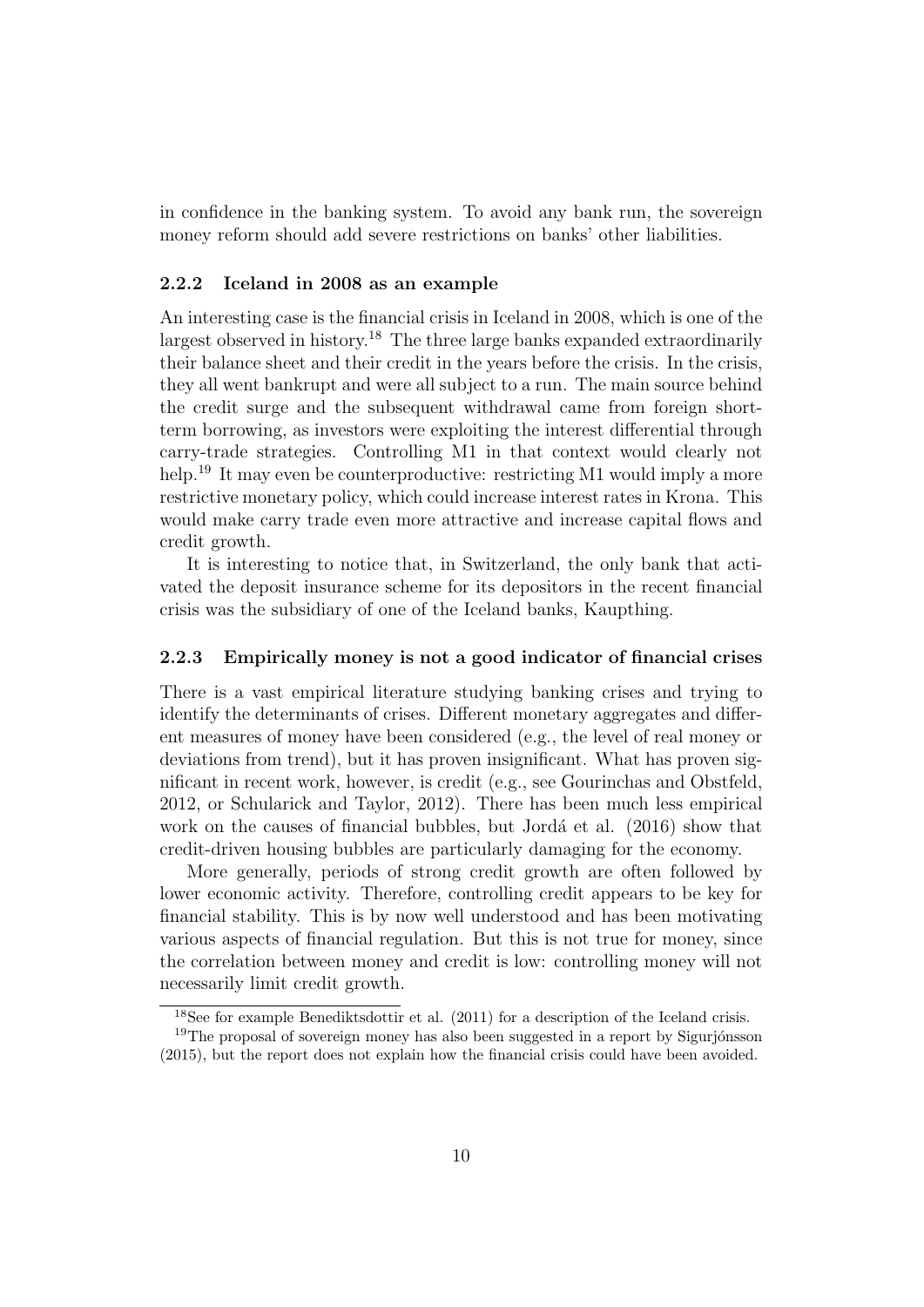in confidence in the banking system. To avoid any bank run, the sovereign money reform should add severe restrictions on banks' other liabilities.

#### 2.2.2 Iceland in 2008 as an example

An interesting case is the financial crisis in Iceland in 2008, which is one of the largest observed in history.<sup>18</sup> The three large banks expanded extraordinarily their balance sheet and their credit in the years before the crisis. In the crisis, they all went bankrupt and were all subject to a run. The main source behind the credit surge and the subsequent withdrawal came from foreign shortterm borrowing, as investors were exploiting the interest differential through carry-trade strategies. Controlling M1 in that context would clearly not help.<sup>19</sup> It may even be counterproductive: restricting M1 would imply a more restrictive monetary policy, which could increase interest rates in Krona. This would make carry trade even more attractive and increase capital flows and credit growth.

It is interesting to notice that, in Switzerland, the only bank that activated the deposit insurance scheme for its depositors in the recent financial crisis was the subsidiary of one of the Iceland banks, Kaupthing.

### 2.2.3 Empirically money is not a good indicator of financial crises

There is a vast empirical literature studying banking crises and trying to identify the determinants of crises. Different monetary aggregates and different measures of money have been considered (e.g., the level of real money or deviations from trend), but it has proven insignificant. What has proven significant in recent work, however, is credit (e.g., see Gourinchas and Obstfeld, 2012, or Schularick and Taylor, 2012). There has been much less empirical work on the causes of financial bubbles, but Jordá et al. (2016) show that credit-driven housing bubbles are particularly damaging for the economy.

More generally, periods of strong credit growth are often followed by lower economic activity. Therefore, controlling credit appears to be key for financial stability. This is by now well understood and has been motivating various aspects of financial regulation. But this is not true for money, since the correlation between money and credit is low: controlling money will not necessarily limit credit growth.

<sup>18</sup>See for example Benediktsdottir et al. (2011) for a description of the Iceland crisis.

 $19$ The proposal of sovereign money has also been suggested in a report by Sigurjónsson (2015), but the report does not explain how the financial crisis could have been avoided.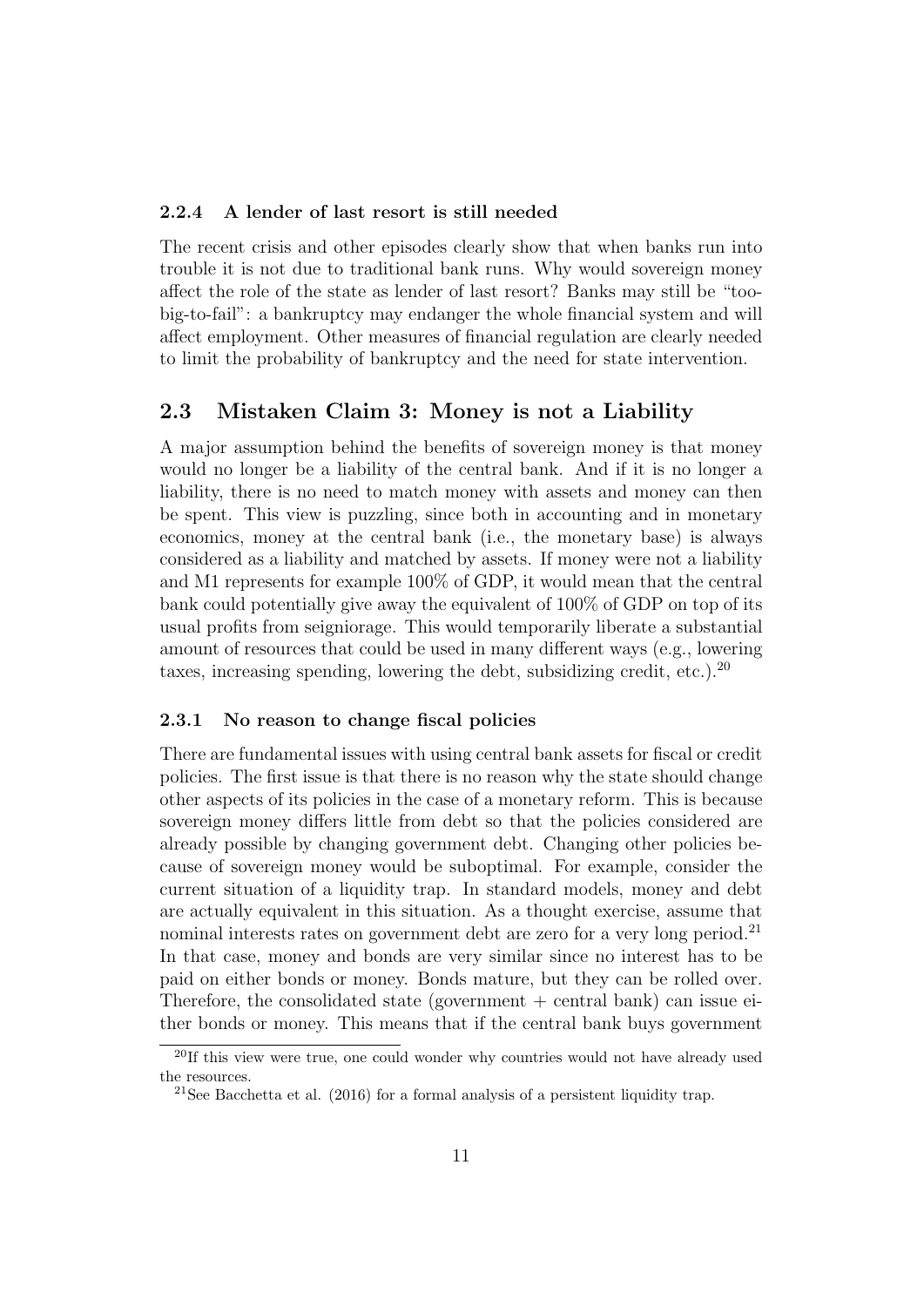### 2.2.4 A lender of last resort is still needed

The recent crisis and other episodes clearly show that when banks run into trouble it is not due to traditional bank runs. Why would sovereign money affect the role of the state as lender of last resort? Banks may still be "toobig-to-fail": a bankruptcy may endanger the whole financial system and will affect employment. Other measures of financial regulation are clearly needed to limit the probability of bankruptcy and the need for state intervention.

## 2.3 Mistaken Claim 3: Money is not a Liability

A major assumption behind the benefits of sovereign money is that money would no longer be a liability of the central bank. And if it is no longer a liability, there is no need to match money with assets and money can then be spent. This view is puzzling, since both in accounting and in monetary economics, money at the central bank (i.e., the monetary base) is always considered as a liability and matched by assets. If money were not a liability and M1 represents for example 100% of GDP, it would mean that the central bank could potentially give away the equivalent of 100% of GDP on top of its usual profits from seigniorage. This would temporarily liberate a substantial amount of resources that could be used in many different ways (e.g., lowering taxes, increasing spending, lowering the debt, subsidizing credit, etc.). $^{20}$ 

## 2.3.1 No reason to change fiscal policies

There are fundamental issues with using central bank assets for fiscal or credit policies. The first issue is that there is no reason why the state should change other aspects of its policies in the case of a monetary reform. This is because sovereign money differs little from debt so that the policies considered are already possible by changing government debt. Changing other policies because of sovereign money would be suboptimal. For example, consider the current situation of a liquidity trap. In standard models, money and debt are actually equivalent in this situation. As a thought exercise, assume that nominal interests rates on government debt are zero for a very long period.<sup>21</sup> In that case, money and bonds are very similar since no interest has to be paid on either bonds or money. Bonds mature, but they can be rolled over. Therefore, the consolidated state (government  $+$  central bank) can issue either bonds or money. This means that if the central bank buys government

<sup>&</sup>lt;sup>20</sup>If this view were true, one could wonder why countries would not have already used the resources.

<sup>&</sup>lt;sup>21</sup>See Bacchetta et al.  $(2016)$  for a formal analysis of a persistent liquidity trap.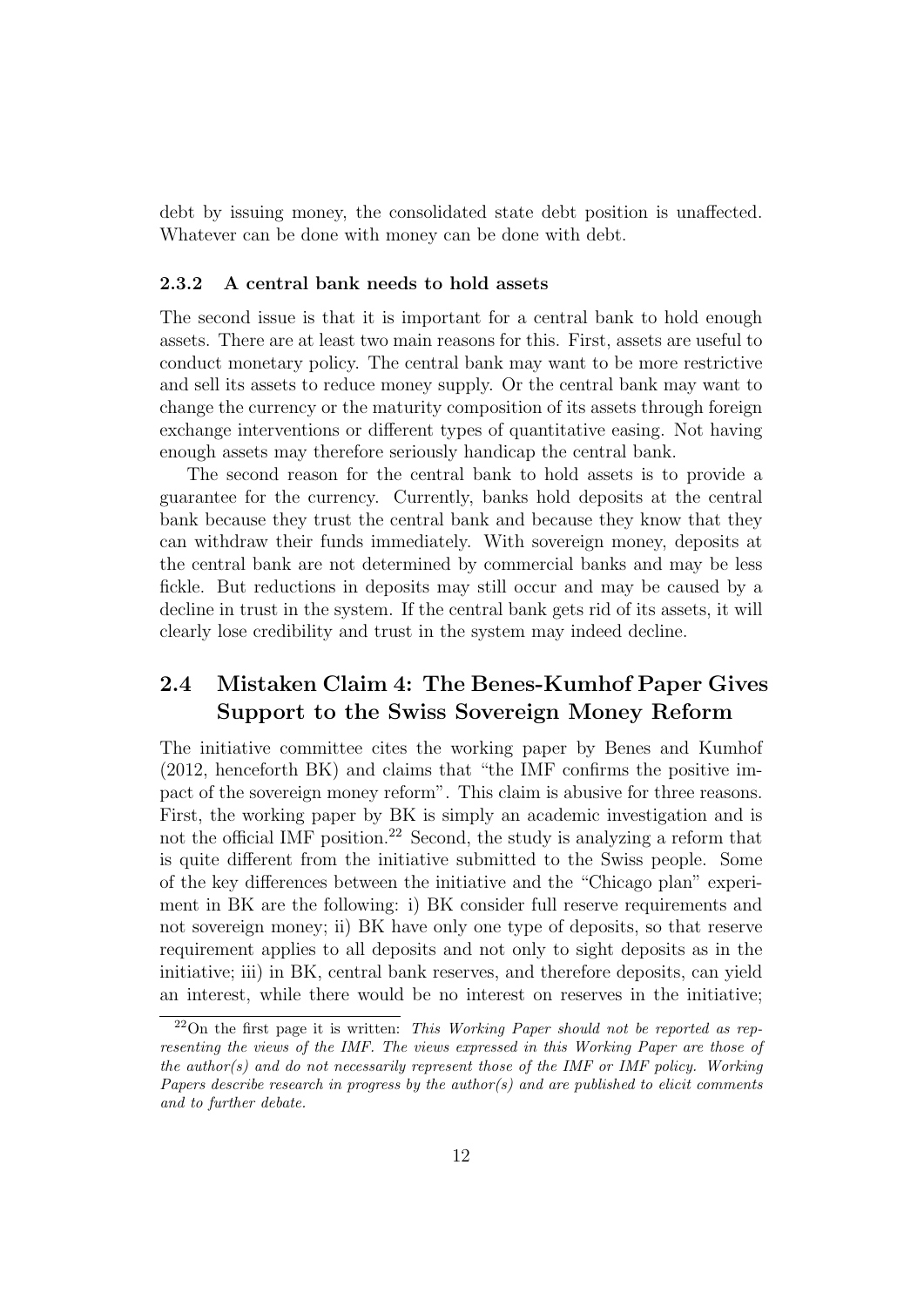debt by issuing money, the consolidated state debt position is unaffected. Whatever can be done with money can be done with debt.

#### 2.3.2 A central bank needs to hold assets

The second issue is that it is important for a central bank to hold enough assets. There are at least two main reasons for this. First, assets are useful to conduct monetary policy. The central bank may want to be more restrictive and sell its assets to reduce money supply. Or the central bank may want to change the currency or the maturity composition of its assets through foreign exchange interventions or different types of quantitative easing. Not having enough assets may therefore seriously handicap the central bank.

The second reason for the central bank to hold assets is to provide a guarantee for the currency. Currently, banks hold deposits at the central bank because they trust the central bank and because they know that they can withdraw their funds immediately. With sovereign money, deposits at the central bank are not determined by commercial banks and may be less fickle. But reductions in deposits may still occur and may be caused by a decline in trust in the system. If the central bank gets rid of its assets, it will clearly lose credibility and trust in the system may indeed decline.

## 2.4 Mistaken Claim 4: The Benes-Kumhof Paper Gives Support to the Swiss Sovereign Money Reform

The initiative committee cites the working paper by Benes and Kumhof (2012, henceforth BK) and claims that "the IMF confirms the positive impact of the sovereign money reform". This claim is abusive for three reasons. First, the working paper by BK is simply an academic investigation and is not the official IMF position.<sup>22</sup> Second, the study is analyzing a reform that is quite different from the initiative submitted to the Swiss people. Some of the key differences between the initiative and the "Chicago plan" experiment in BK are the following: i) BK consider full reserve requirements and not sovereign money; ii) BK have only one type of deposits, so that reserve requirement applies to all deposits and not only to sight deposits as in the initiative; iii) in BK, central bank reserves, and therefore deposits, can yield an interest, while there would be no interest on reserves in the initiative;

 $22$ On the first page it is written: This Working Paper should not be reported as representing the views of the IMF. The views expressed in this Working Paper are those of the author(s) and do not necessarily represent those of the IMF or IMF policy. Working Papers describe research in progress by the author(s) and are published to elicit comments and to further debate.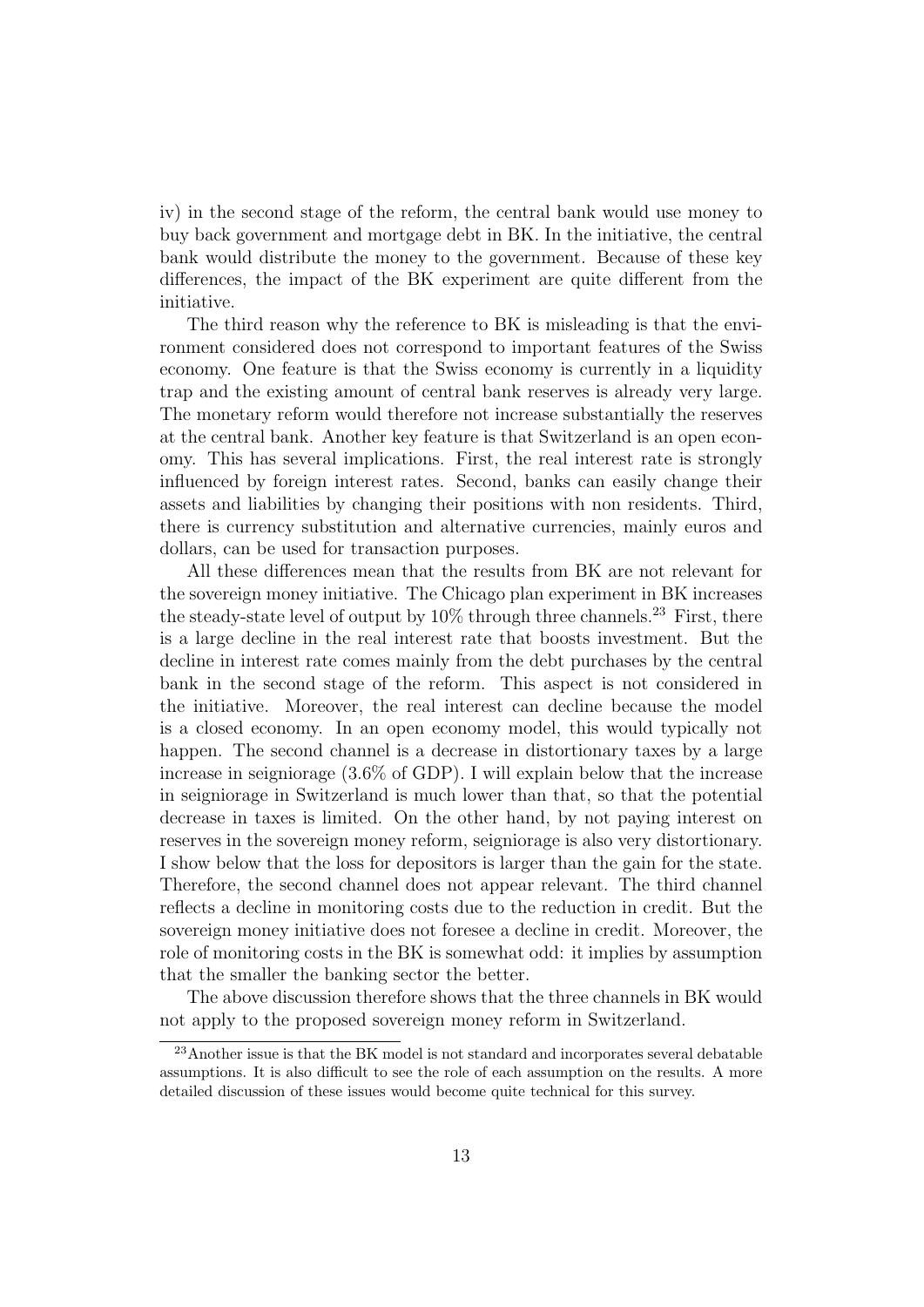iv) in the second stage of the reform, the central bank would use money to buy back government and mortgage debt in BK. In the initiative, the central bank would distribute the money to the government. Because of these key differences, the impact of the BK experiment are quite different from the initiative.

The third reason why the reference to BK is misleading is that the environment considered does not correspond to important features of the Swiss economy. One feature is that the Swiss economy is currently in a liquidity trap and the existing amount of central bank reserves is already very large. The monetary reform would therefore not increase substantially the reserves at the central bank. Another key feature is that Switzerland is an open economy. This has several implications. First, the real interest rate is strongly influenced by foreign interest rates. Second, banks can easily change their assets and liabilities by changing their positions with non residents. Third, there is currency substitution and alternative currencies, mainly euros and dollars, can be used for transaction purposes.

All these differences mean that the results from BK are not relevant for the sovereign money initiative. The Chicago plan experiment in BK increases the steady-state level of output by  $10\%$  through three channels.<sup>23</sup> First, there is a large decline in the real interest rate that boosts investment. But the decline in interest rate comes mainly from the debt purchases by the central bank in the second stage of the reform. This aspect is not considered in the initiative. Moreover, the real interest can decline because the model is a closed economy. In an open economy model, this would typically not happen. The second channel is a decrease in distortionary taxes by a large increase in seigniorage (3.6% of GDP). I will explain below that the increase in seigniorage in Switzerland is much lower than that, so that the potential decrease in taxes is limited. On the other hand, by not paying interest on reserves in the sovereign money reform, seigniorage is also very distortionary. I show below that the loss for depositors is larger than the gain for the state. Therefore, the second channel does not appear relevant. The third channel reflects a decline in monitoring costs due to the reduction in credit. But the sovereign money initiative does not foresee a decline in credit. Moreover, the role of monitoring costs in the BK is somewhat odd: it implies by assumption that the smaller the banking sector the better.

The above discussion therefore shows that the three channels in BK would not apply to the proposed sovereign money reform in Switzerland.

<sup>&</sup>lt;sup>23</sup>Another issue is that the BK model is not standard and incorporates several debatable assumptions. It is also difficult to see the role of each assumption on the results. A more detailed discussion of these issues would become quite technical for this survey.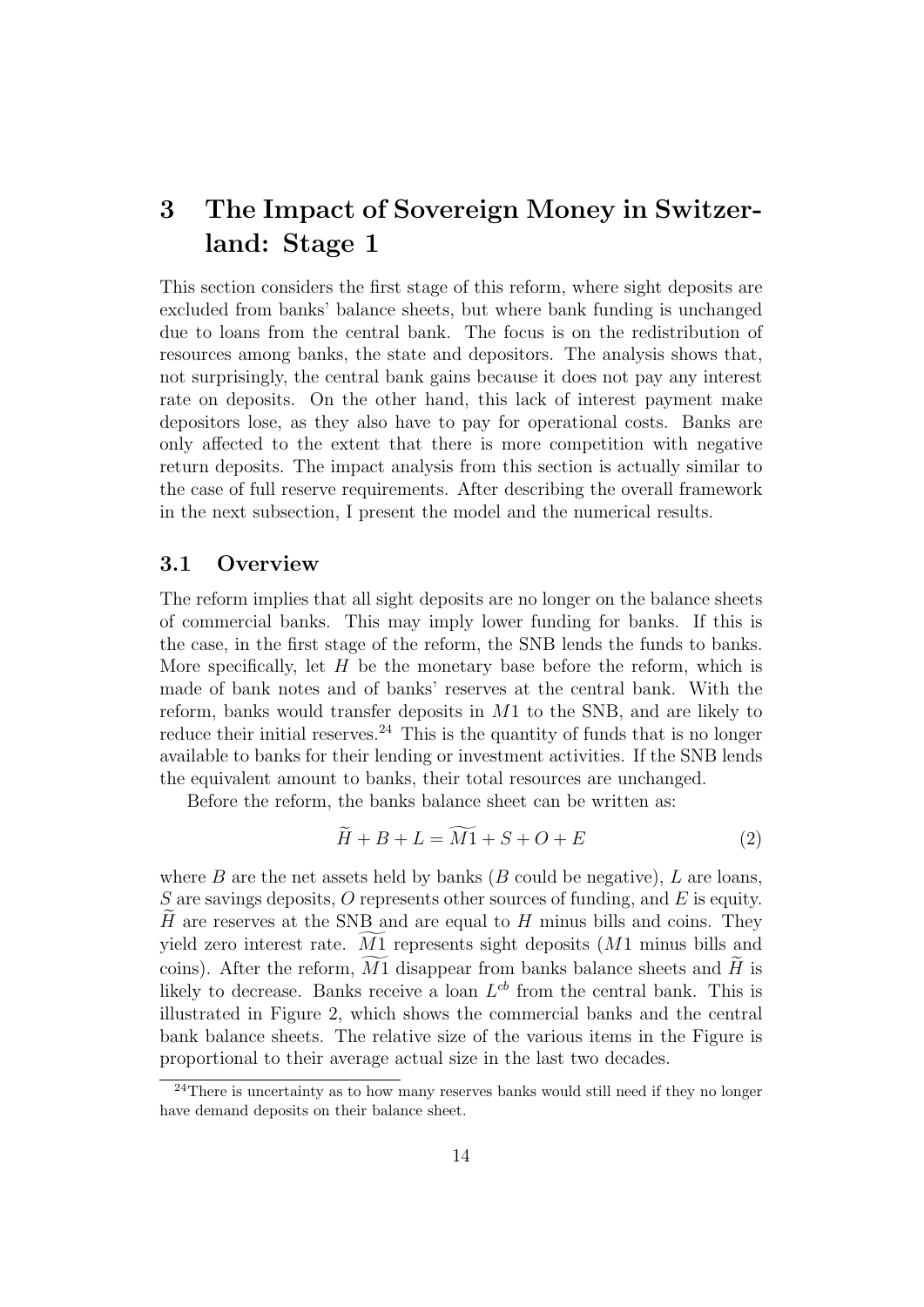# 3 The Impact of Sovereign Money in Switzerland: Stage 1

This section considers the first stage of this reform, where sight deposits are excluded from banks' balance sheets, but where bank funding is unchanged due to loans from the central bank. The focus is on the redistribution of resources among banks, the state and depositors. The analysis shows that, not surprisingly, the central bank gains because it does not pay any interest rate on deposits. On the other hand, this lack of interest payment make depositors lose, as they also have to pay for operational costs. Banks are only affected to the extent that there is more competition with negative return deposits. The impact analysis from this section is actually similar to the case of full reserve requirements. After describing the overall framework in the next subsection, I present the model and the numerical results.

## 3.1 Overview

The reform implies that all sight deposits are no longer on the balance sheets of commercial banks. This may imply lower funding for banks. If this is the case, in the first stage of the reform, the SNB lends the funds to banks. More specifically, let  $H$  be the monetary base before the reform, which is made of bank notes and of banks' reserves at the central bank. With the reform, banks would transfer deposits in M1 to the SNB, and are likely to reduce their initial reserves.<sup>24</sup> This is the quantity of funds that is no longer available to banks for their lending or investment activities. If the SNB lends the equivalent amount to banks, their total resources are unchanged.

Before the reform, the banks balance sheet can be written as:

$$
\widetilde{H} + B + L = \widetilde{M1} + S + O + E \tag{2}
$$

where  $B$  are the net assets held by banks  $(B \text{ could be negative})$ ,  $L$  are loans,  $S$  are savings deposits, O represents other sources of funding, and  $E$  is equity.  $H$  are reserves at the SNB and are equal to  $H$  minus bills and coins. They yield zero interest rate.  $M1$  represents sight deposits  $(M1)$  minus bills and coins). After the reform,  $\overline{M1}$  disappear from banks balance sheets and  $\overline{H}$  is likely to decrease. Banks receive a loan  $L^{cb}$  from the central bank. This is illustrated in Figure 2, which shows the commercial banks and the central bank balance sheets. The relative size of the various items in the Figure is proportional to their average actual size in the last two decades.

 $24$ There is uncertainty as to how many reserves banks would still need if they no longer have demand deposits on their balance sheet.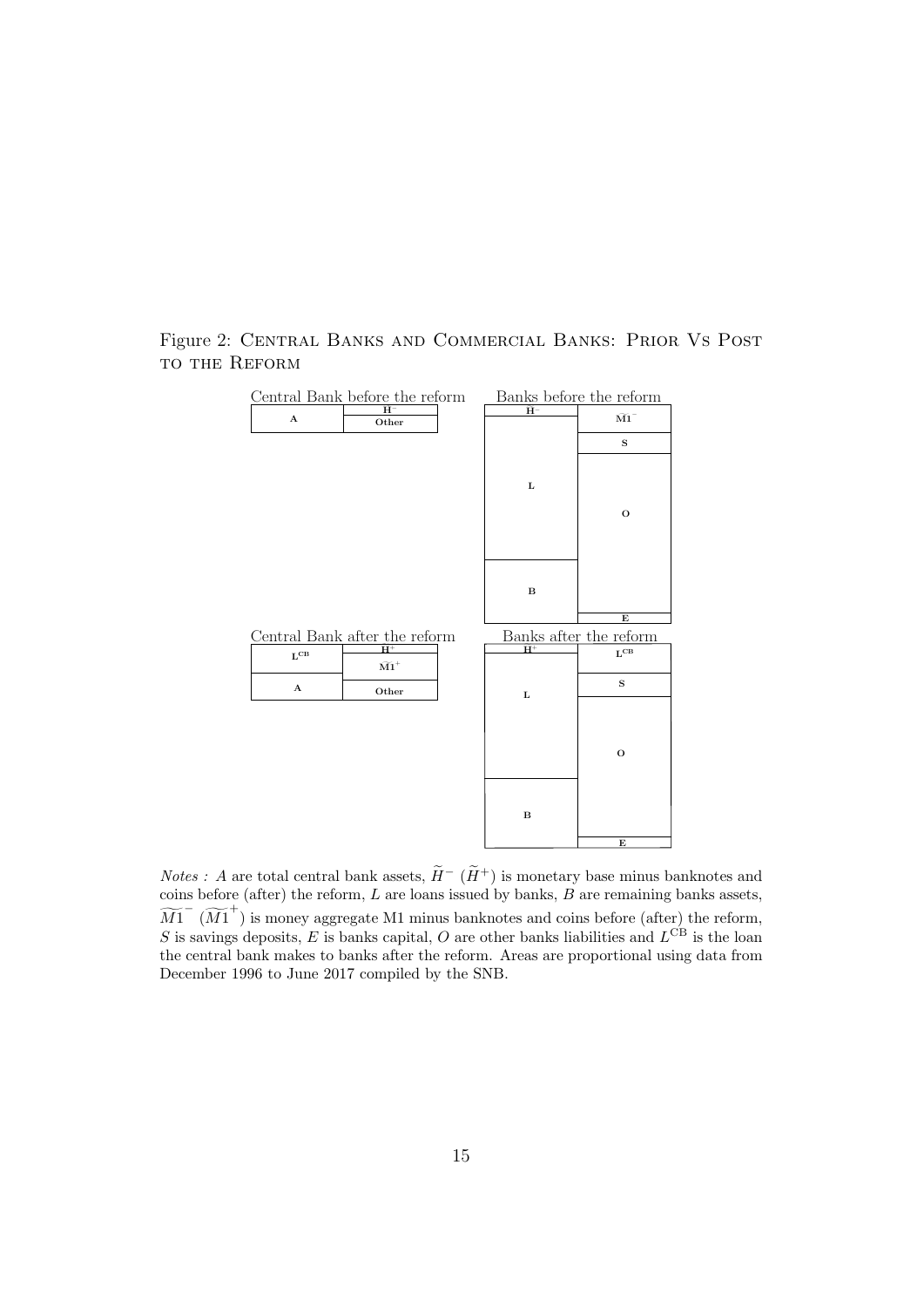

Figure 2: Central Banks and Commercial Banks: Prior Vs Post to the Reform

*Notes : A* are total central bank assets,  $\widetilde{H}$ <sup>-</sup> ( $\widetilde{H}$ <sup>+</sup>) is monetary base minus banknotes and coins before (after) the reform,  $L$  are loans issued by banks,  $B$  are remaining banks assets,  $\widetilde{M1}$  ( $\widetilde{M1}^+$ ) is money aggregate M1 minus banknotes and coins before (after) the reform, S is savings deposits, E is banks capital, O are other banks liabilities and  $L^{CB}$  is the loan the central bank makes to banks after the reform. Areas are proportional using data from December 1996 to June 2017 compiled by the SNB.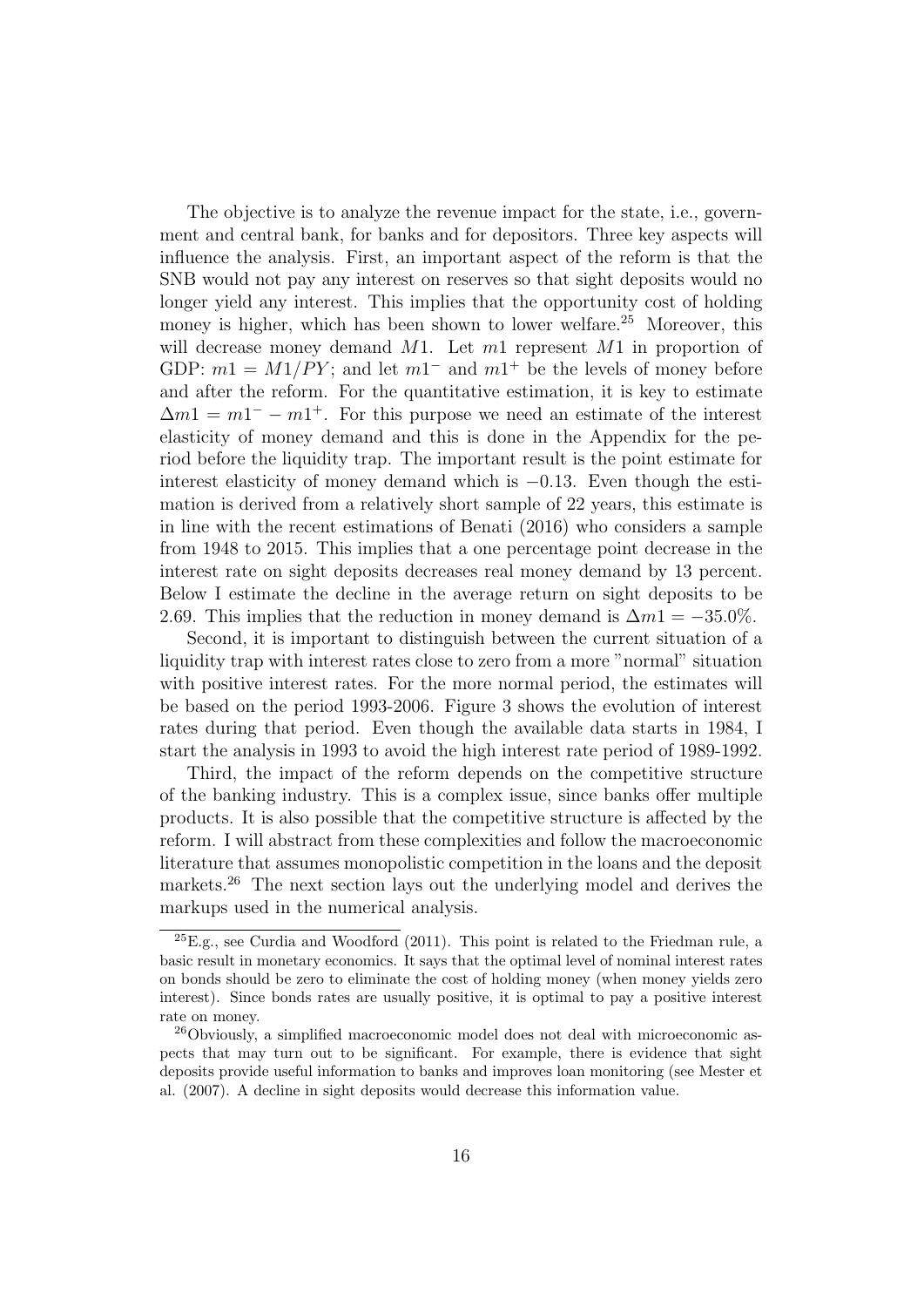The objective is to analyze the revenue impact for the state, i.e., government and central bank, for banks and for depositors. Three key aspects will influence the analysis. First, an important aspect of the reform is that the SNB would not pay any interest on reserves so that sight deposits would no longer yield any interest. This implies that the opportunity cost of holding money is higher, which has been shown to lower welfare.<sup>25</sup> Moreover, this will decrease money demand M1. Let m1 represent M1 in proportion of GDP:  $m1 = M1/PY$ ; and let  $m1$ <sup>-</sup> and  $m1$ <sup>+</sup> be the levels of money before and after the reform. For the quantitative estimation, it is key to estimate  $\Delta m_1 = m_1 - m_1$ <sup>+</sup>. For this purpose we need an estimate of the interest elasticity of money demand and this is done in the Appendix for the period before the liquidity trap. The important result is the point estimate for interest elasticity of money demand which is  $-0.13$ . Even though the estimation is derived from a relatively short sample of 22 years, this estimate is in line with the recent estimations of Benati (2016) who considers a sample from 1948 to 2015. This implies that a one percentage point decrease in the interest rate on sight deposits decreases real money demand by 13 percent. Below I estimate the decline in the average return on sight deposits to be 2.69. This implies that the reduction in money demand is  $\Delta m1 = -35.0\%$ .

Second, it is important to distinguish between the current situation of a liquidity trap with interest rates close to zero from a more "normal" situation with positive interest rates. For the more normal period, the estimates will be based on the period 1993-2006. Figure 3 shows the evolution of interest rates during that period. Even though the available data starts in 1984, I start the analysis in 1993 to avoid the high interest rate period of 1989-1992.

Third, the impact of the reform depends on the competitive structure of the banking industry. This is a complex issue, since banks offer multiple products. It is also possible that the competitive structure is affected by the reform. I will abstract from these complexities and follow the macroeconomic literature that assumes monopolistic competition in the loans and the deposit markets.<sup>26</sup> The next section lays out the underlying model and derives the markups used in the numerical analysis.

 ${}^{25}E.g.,$  see Curdia and Woodford (2011). This point is related to the Friedman rule, a basic result in monetary economics. It says that the optimal level of nominal interest rates on bonds should be zero to eliminate the cost of holding money (when money yields zero interest). Since bonds rates are usually positive, it is optimal to pay a positive interest rate on money.

<sup>26</sup>Obviously, a simplified macroeconomic model does not deal with microeconomic aspects that may turn out to be significant. For example, there is evidence that sight deposits provide useful information to banks and improves loan monitoring (see Mester et al. (2007). A decline in sight deposits would decrease this information value.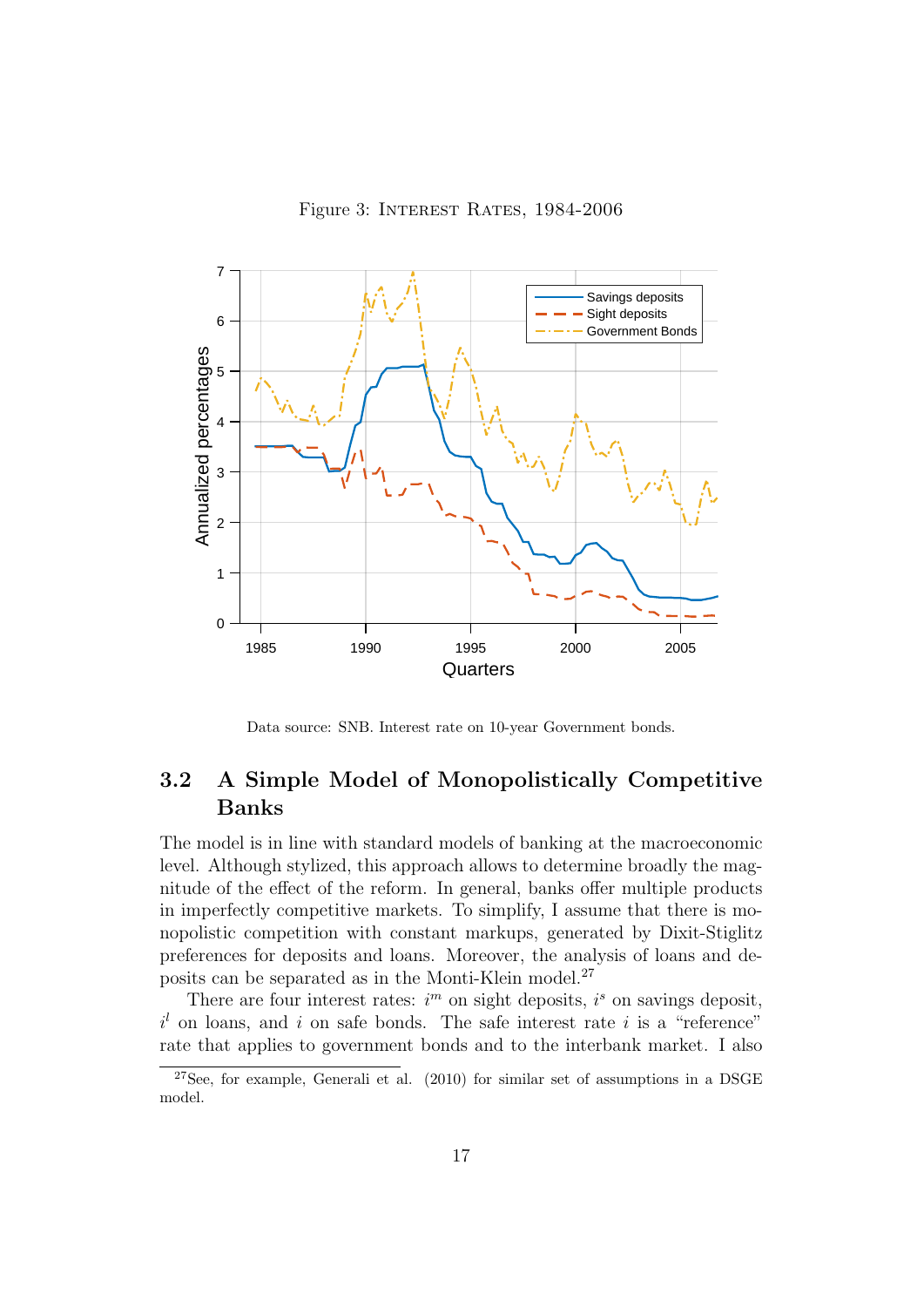Figure 3: INTEREST RATES, 1984-2006



Data source: SNB. Interest rate on 10-year Government bonds.

## 3.2 A Simple Model of Monopolistically Competitive Banks

The model is in line with standard models of banking at the macroeconomic level. Although stylized, this approach allows to determine broadly the magnitude of the effect of the reform. In general, banks offer multiple products in imperfectly competitive markets. To simplify, I assume that there is monopolistic competition with constant markups, generated by Dixit-Stiglitz preferences for deposits and loans. Moreover, the analysis of loans and deposits can be separated as in the Monti-Klein model.<sup>27</sup>

There are four interest rates:  $i<sup>m</sup>$  on sight deposits,  $i<sup>s</sup>$  on savings deposit,  $i<sup>l</sup>$  on loans, and i on safe bonds. The safe interest rate i is a "reference" rate that applies to government bonds and to the interbank market. I also

<sup>&</sup>lt;sup>27</sup>See, for example, Generali et al.  $(2010)$  for similar set of assumptions in a DSGE model.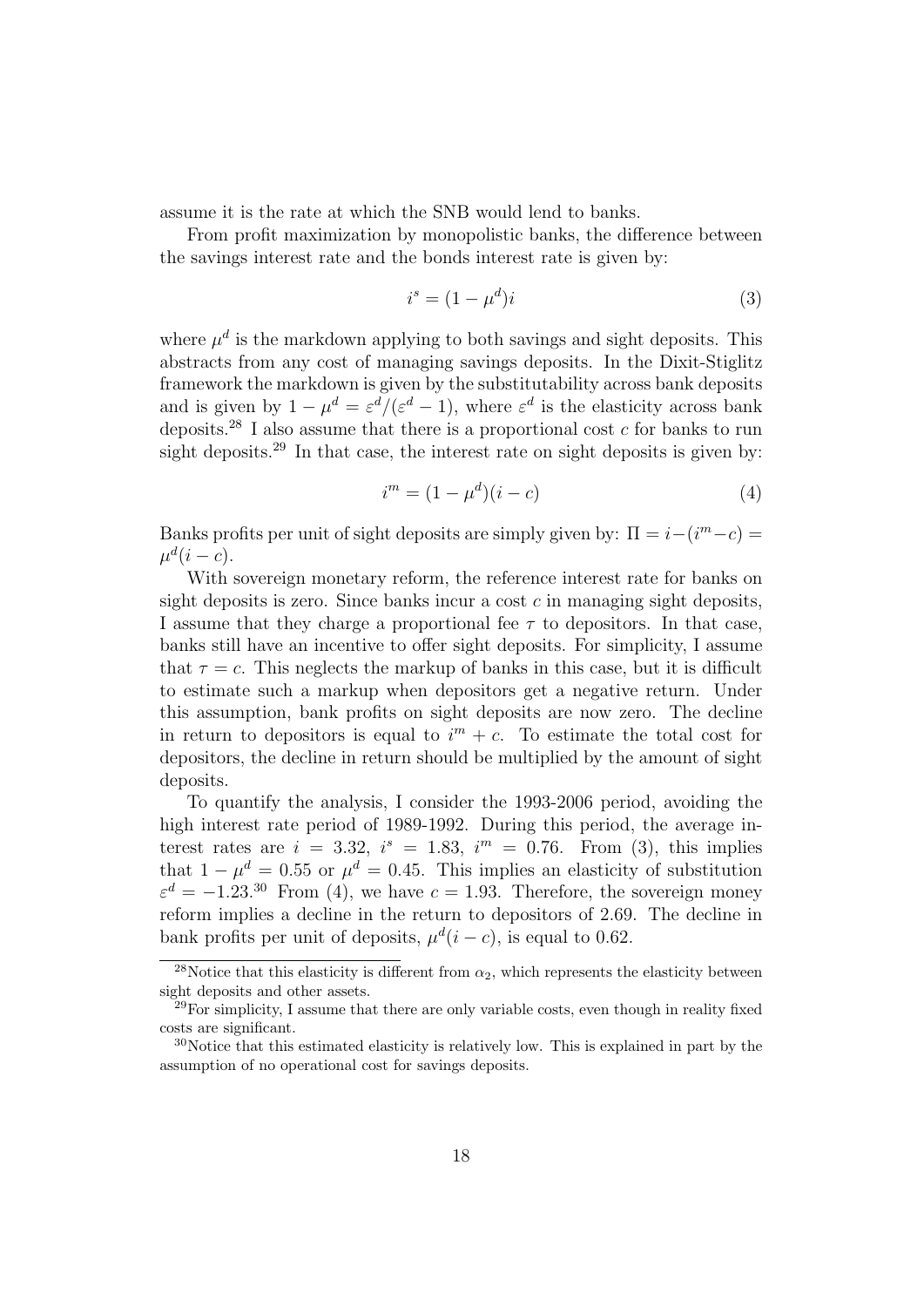assume it is the rate at which the SNB would lend to banks.

From profit maximization by monopolistic banks, the difference between the savings interest rate and the bonds interest rate is given by:

$$
i^s = (1 - \mu^d)i
$$
\n<sup>(3)</sup>

where  $\mu^d$  is the markdown applying to both savings and sight deposits. This abstracts from any cost of managing savings deposits. In the Dixit-Stiglitz framework the markdown is given by the substitutability across bank deposits and is given by  $1 - \mu^d = \varepsilon^d/(\varepsilon^d - 1)$ , where  $\varepsilon^d$  is the elasticity across bank deposits.<sup>28</sup> I also assume that there is a proportional cost  $c$  for banks to run sight deposits.<sup>29</sup> In that case, the interest rate on sight deposits is given by:

$$
i^{m} = (1 - \mu^{d})(i - c)
$$
 (4)

Banks profits per unit of sight deposits are simply given by:  $\Pi = i - (i^m - c) =$  $\mu^d(i-c)$ .

With sovereign monetary reform, the reference interest rate for banks on sight deposits is zero. Since banks incur a cost  $c$  in managing sight deposits, I assume that they charge a proportional fee  $\tau$  to depositors. In that case, banks still have an incentive to offer sight deposits. For simplicity, I assume that  $\tau = c$ . This neglects the markup of banks in this case, but it is difficult to estimate such a markup when depositors get a negative return. Under this assumption, bank profits on sight deposits are now zero. The decline in return to depositors is equal to  $i^{m} + c$ . To estimate the total cost for depositors, the decline in return should be multiplied by the amount of sight deposits.

To quantify the analysis, I consider the 1993-2006 period, avoiding the high interest rate period of 1989-1992. During this period, the average interest rates are  $i = 3.32$ ,  $i^s = 1.83$ ,  $i^m = 0.76$ . From (3), this implies that  $1 - \mu^d = 0.55$  or  $\mu^d = 0.45$ . This implies an elasticity of substitution  $\varepsilon^d = -1.23$ .<sup>30</sup> From (4), we have  $c = 1.93$ . Therefore, the sovereign money reform implies a decline in the return to depositors of 2.69. The decline in bank profits per unit of deposits,  $\mu^{d}(i - c)$ , is equal to 0.62.

<sup>&</sup>lt;sup>28</sup>Notice that this elasticity is different from  $\alpha_2$ , which represents the elasticity between sight deposits and other assets.

<sup>29</sup>For simplicity, I assume that there are only variable costs, even though in reality fixed costs are significant.

<sup>30</sup>Notice that this estimated elasticity is relatively low. This is explained in part by the assumption of no operational cost for savings deposits.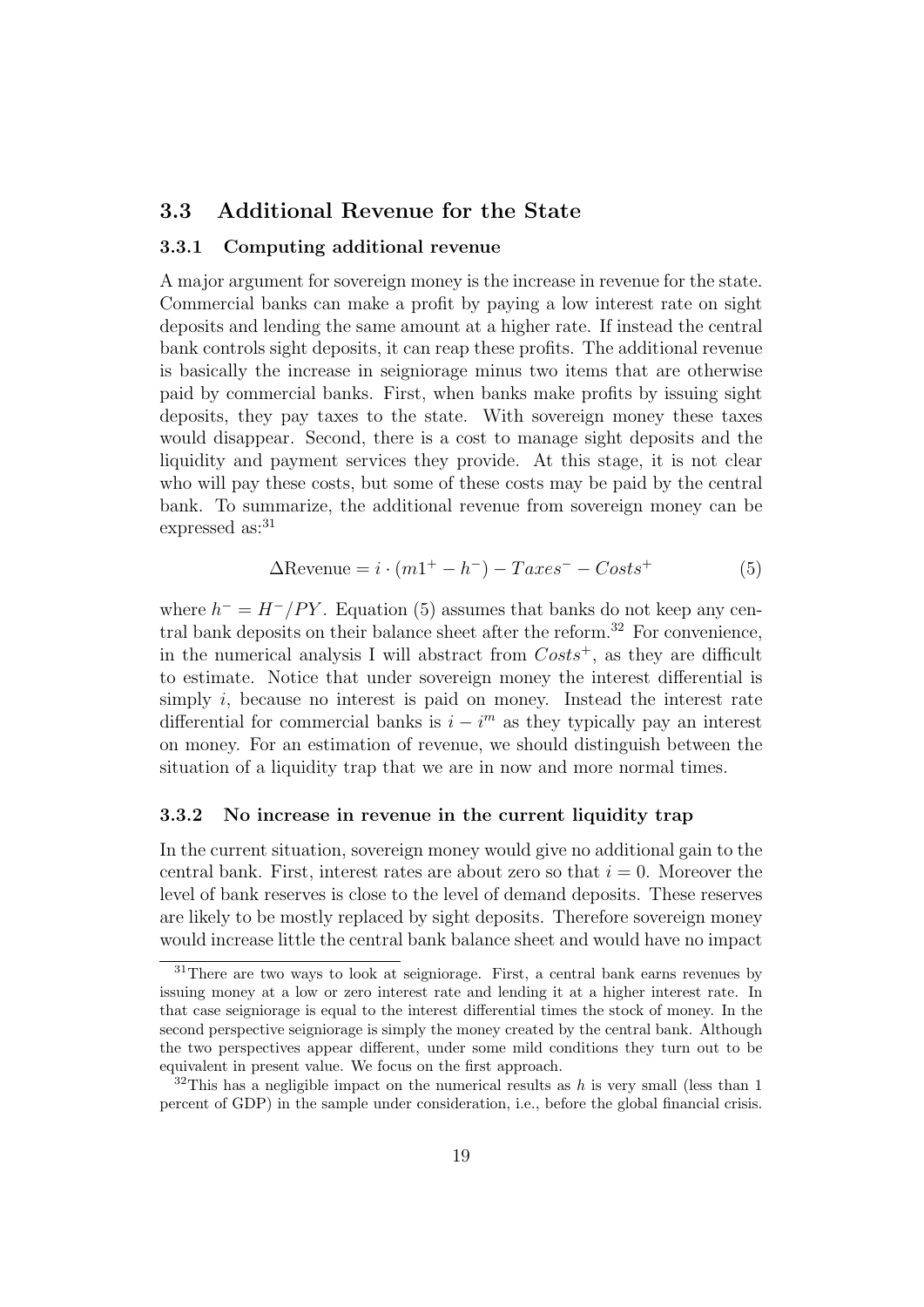## 3.3 Additional Revenue for the State

#### 3.3.1 Computing additional revenue

A major argument for sovereign money is the increase in revenue for the state. Commercial banks can make a profit by paying a low interest rate on sight deposits and lending the same amount at a higher rate. If instead the central bank controls sight deposits, it can reap these profits. The additional revenue is basically the increase in seigniorage minus two items that are otherwise paid by commercial banks. First, when banks make profits by issuing sight deposits, they pay taxes to the state. With sovereign money these taxes would disappear. Second, there is a cost to manage sight deposits and the liquidity and payment services they provide. At this stage, it is not clear who will pay these costs, but some of these costs may be paid by the central bank. To summarize, the additional revenue from sovereign money can be expressed as:<sup>31</sup>

$$
\Delta \text{Revenue} = i \cdot (m1^+ - h^-) - Taxes^- - Costs^+ \tag{5}
$$

where  $h^- = H^-/PY$ . Equation (5) assumes that banks do not keep any central bank deposits on their balance sheet after the reform.<sup>32</sup> For convenience, in the numerical analysis I will abstract from  $Costs^+$ , as they are difficult to estimate. Notice that under sovereign money the interest differential is simply *i*, because no interest is paid on money. Instead the interest rate differential for commercial banks is  $i - i<sup>m</sup>$  as they typically pay an interest on money. For an estimation of revenue, we should distinguish between the situation of a liquidity trap that we are in now and more normal times.

### 3.3.2 No increase in revenue in the current liquidity trap

In the current situation, sovereign money would give no additional gain to the central bank. First, interest rates are about zero so that  $i = 0$ . Moreover the level of bank reserves is close to the level of demand deposits. These reserves are likely to be mostly replaced by sight deposits. Therefore sovereign money would increase little the central bank balance sheet and would have no impact

<sup>&</sup>lt;sup>31</sup>There are two ways to look at seigniorage. First, a central bank earns revenues by issuing money at a low or zero interest rate and lending it at a higher interest rate. In that case seigniorage is equal to the interest differential times the stock of money. In the second perspective seigniorage is simply the money created by the central bank. Although the two perspectives appear different, under some mild conditions they turn out to be equivalent in present value. We focus on the first approach.

<sup>&</sup>lt;sup>32</sup>This has a negligible impact on the numerical results as h is very small (less than 1 percent of GDP) in the sample under consideration, i.e., before the global financial crisis.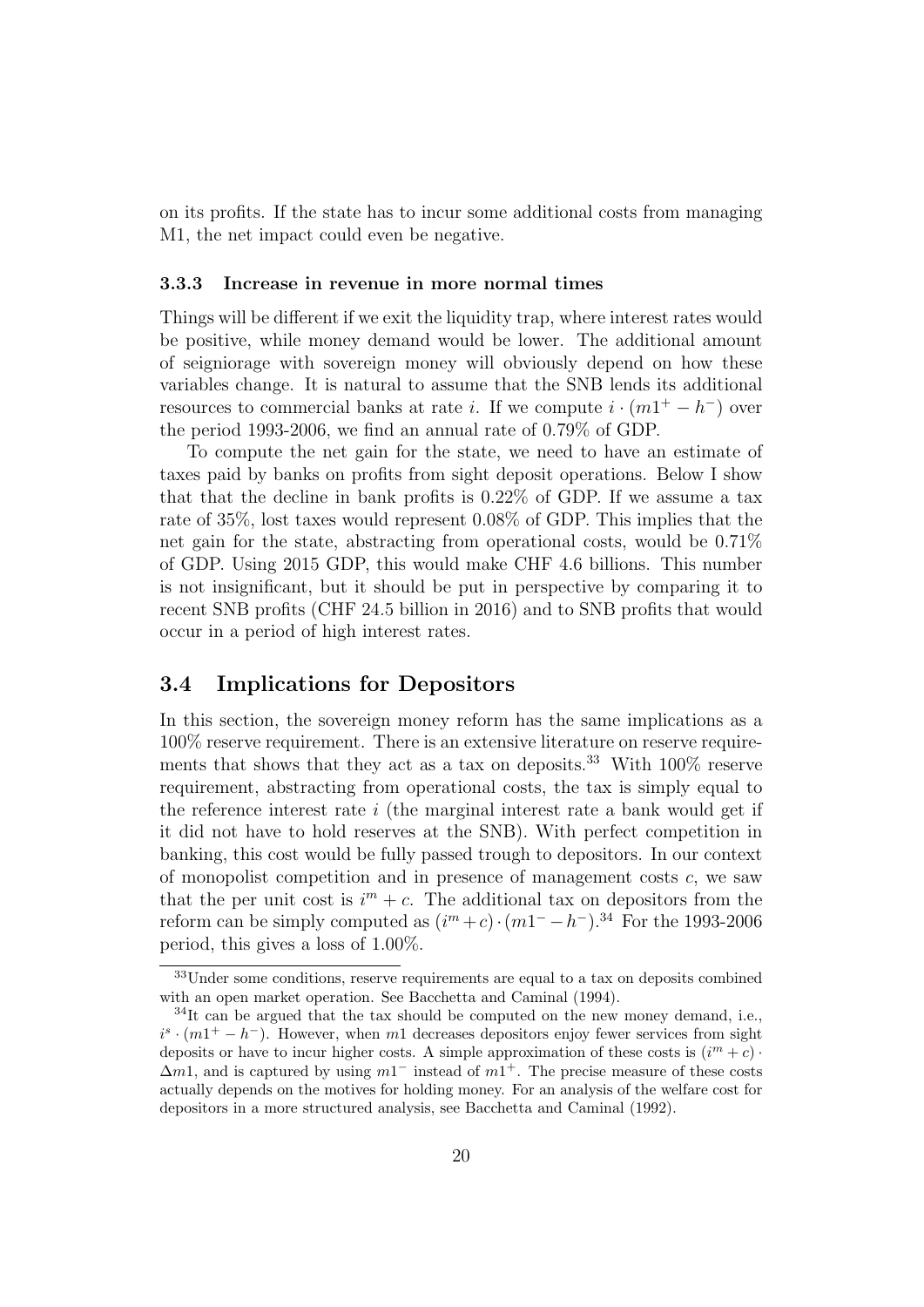on its profits. If the state has to incur some additional costs from managing M1, the net impact could even be negative.

#### 3.3.3 Increase in revenue in more normal times

Things will be different if we exit the liquidity trap, where interest rates would be positive, while money demand would be lower. The additional amount of seigniorage with sovereign money will obviously depend on how these variables change. It is natural to assume that the SNB lends its additional resources to commercial banks at rate *i*. If we compute  $i \cdot (m_1 + - h^-)$  over the period 1993-2006, we find an annual rate of 0.79% of GDP.

To compute the net gain for the state, we need to have an estimate of taxes paid by banks on profits from sight deposit operations. Below I show that that the decline in bank profits is 0.22% of GDP. If we assume a tax rate of 35%, lost taxes would represent 0.08% of GDP. This implies that the net gain for the state, abstracting from operational costs, would be 0.71% of GDP. Using 2015 GDP, this would make CHF 4.6 billions. This number is not insignificant, but it should be put in perspective by comparing it to recent SNB profits (CHF 24.5 billion in 2016) and to SNB profits that would occur in a period of high interest rates.

## 3.4 Implications for Depositors

In this section, the sovereign money reform has the same implications as a 100% reserve requirement. There is an extensive literature on reserve requirements that shows that they act as a tax on deposits.<sup>33</sup> With  $100\%$  reserve requirement, abstracting from operational costs, the tax is simply equal to the reference interest rate  $i$  (the marginal interest rate a bank would get if it did not have to hold reserves at the SNB). With perfect competition in banking, this cost would be fully passed trough to depositors. In our context of monopolist competition and in presence of management costs  $c$ , we saw that the per unit cost is  $i^{m} + c$ . The additional tax on depositors from the reform can be simply computed as  $(i<sup>m</sup> + c) \cdot (m1<sup>-</sup> - h<sup>-</sup>)$ .<sup>34</sup> For the 1993-2006 period, this gives a loss of 1.00%.

<sup>33</sup>Under some conditions, reserve requirements are equal to a tax on deposits combined with an open market operation. See Bacchetta and Caminal (1994).

 $34$ It can be argued that the tax should be computed on the new money demand, i.e.,  $i<sup>s</sup> \cdot (m1<sup>+</sup> - h<sup>-</sup>)$ . However, when m1 decreases depositors enjoy fewer services from sight deposits or have to incur higher costs. A simple approximation of these costs is  $(i<sup>m</sup> + c)$ .  $\Delta m$ 1, and is captured by using  $m1^-$  instead of  $m1^+$ . The precise measure of these costs actually depends on the motives for holding money. For an analysis of the welfare cost for depositors in a more structured analysis, see Bacchetta and Caminal (1992).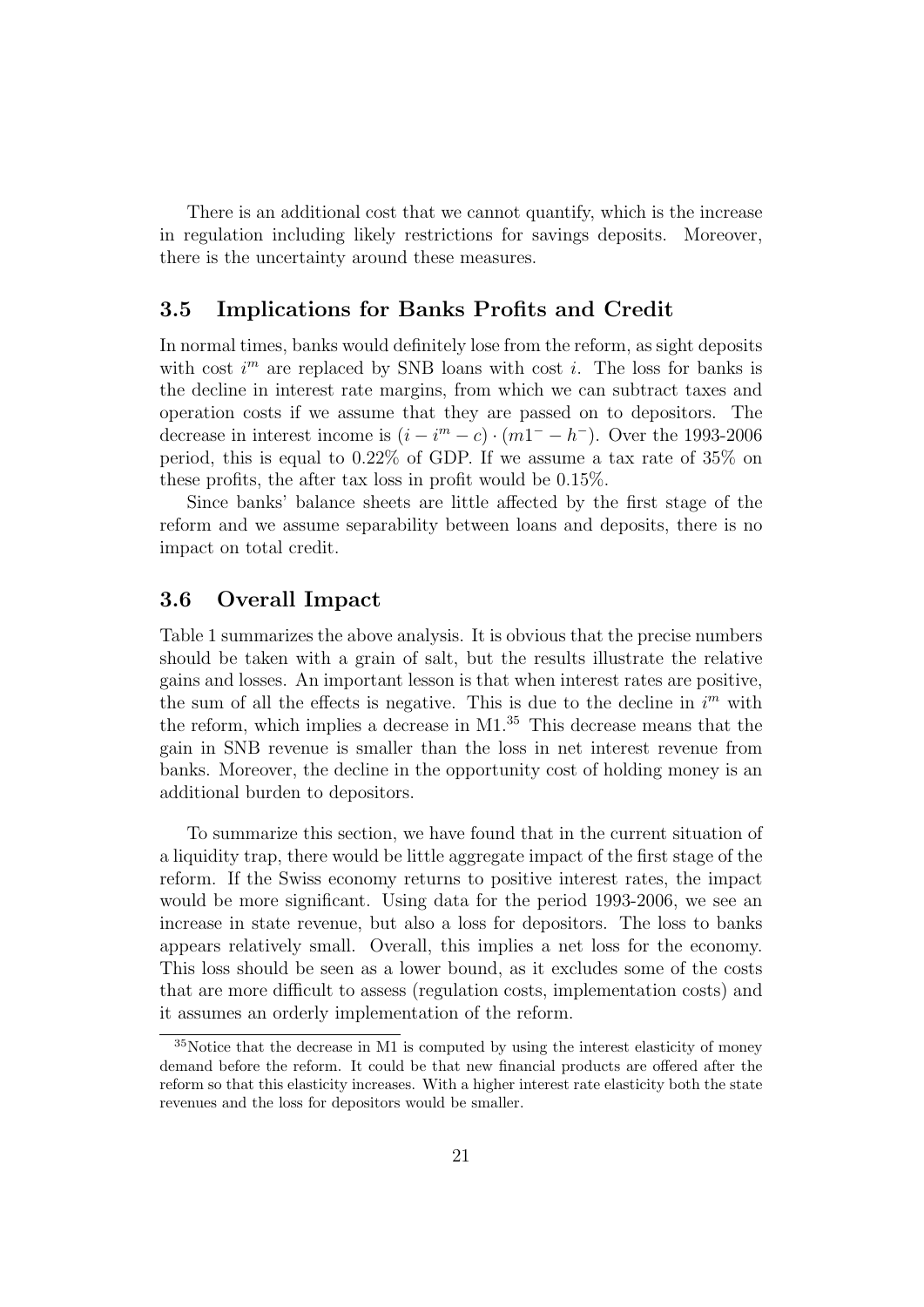There is an additional cost that we cannot quantify, which is the increase in regulation including likely restrictions for savings deposits. Moreover, there is the uncertainty around these measures.

## 3.5 Implications for Banks Profits and Credit

In normal times, banks would definitely lose from the reform, as sight deposits with cost  $i<sup>m</sup>$  are replaced by SNB loans with cost i. The loss for banks is the decline in interest rate margins, from which we can subtract taxes and operation costs if we assume that they are passed on to depositors. The decrease in interest income is  $(i - i<sup>m</sup> - c) \cdot (m1<sup>-</sup> - h<sup>-</sup>)$ . Over the 1993-2006 period, this is equal to 0.22% of GDP. If we assume a tax rate of 35% on these profits, the after tax loss in profit would be 0.15%.

Since banks' balance sheets are little affected by the first stage of the reform and we assume separability between loans and deposits, there is no impact on total credit.

## 3.6 Overall Impact

Table 1 summarizes the above analysis. It is obvious that the precise numbers should be taken with a grain of salt, but the results illustrate the relative gains and losses. An important lesson is that when interest rates are positive, the sum of all the effects is negative. This is due to the decline in  $i<sup>m</sup>$  with the reform, which implies a decrease in M1.<sup>35</sup> This decrease means that the gain in SNB revenue is smaller than the loss in net interest revenue from banks. Moreover, the decline in the opportunity cost of holding money is an additional burden to depositors.

To summarize this section, we have found that in the current situation of a liquidity trap, there would be little aggregate impact of the first stage of the reform. If the Swiss economy returns to positive interest rates, the impact would be more significant. Using data for the period 1993-2006, we see an increase in state revenue, but also a loss for depositors. The loss to banks appears relatively small. Overall, this implies a net loss for the economy. This loss should be seen as a lower bound, as it excludes some of the costs that are more difficult to assess (regulation costs, implementation costs) and it assumes an orderly implementation of the reform.

<sup>35</sup>Notice that the decrease in M1 is computed by using the interest elasticity of money demand before the reform. It could be that new financial products are offered after the reform so that this elasticity increases. With a higher interest rate elasticity both the state revenues and the loss for depositors would be smaller.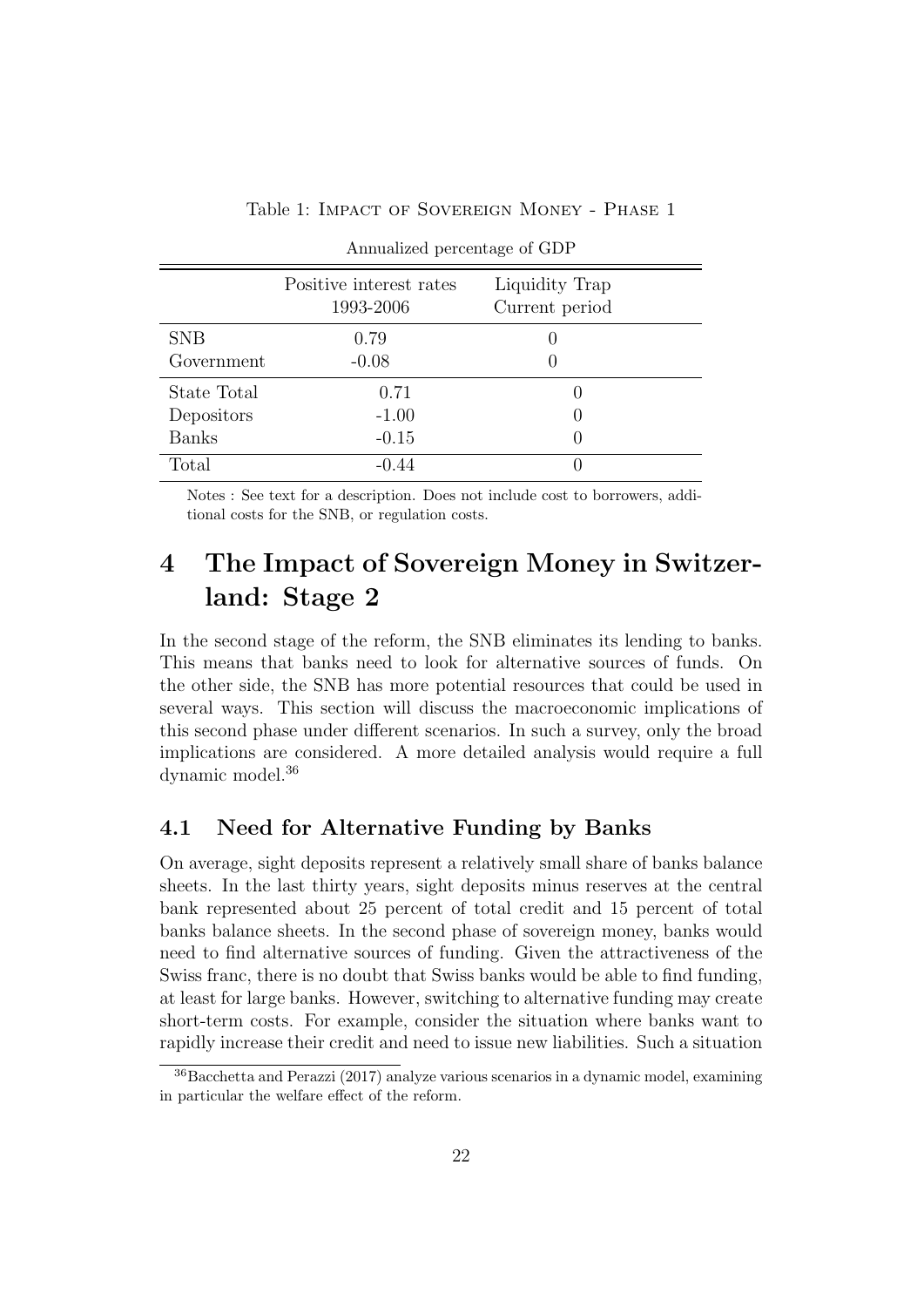#### Table 1: Impact of Sovereign Money - Phase 1

|              | Positive interest rates<br>1993-2006 | Liquidity Trap<br>Current period |  |
|--------------|--------------------------------------|----------------------------------|--|
| <b>SNB</b>   | 0.79                                 |                                  |  |
| Government   | $-0.08$                              |                                  |  |
| State Total  | 0.71                                 |                                  |  |
| Depositors   | $-1.00$                              |                                  |  |
| <b>Banks</b> | $-0.15$                              |                                  |  |
| Total        | $-0.44$                              |                                  |  |

Annualized percentage of GDP

Notes : See text for a description. Does not include cost to borrowers, additional costs for the SNB, or regulation costs.

# 4 The Impact of Sovereign Money in Switzerland: Stage 2

In the second stage of the reform, the SNB eliminates its lending to banks. This means that banks need to look for alternative sources of funds. On the other side, the SNB has more potential resources that could be used in several ways. This section will discuss the macroeconomic implications of this second phase under different scenarios. In such a survey, only the broad implications are considered. A more detailed analysis would require a full dynamic model.<sup>36</sup>

## 4.1 Need for Alternative Funding by Banks

On average, sight deposits represent a relatively small share of banks balance sheets. In the last thirty years, sight deposits minus reserves at the central bank represented about 25 percent of total credit and 15 percent of total banks balance sheets. In the second phase of sovereign money, banks would need to find alternative sources of funding. Given the attractiveness of the Swiss franc, there is no doubt that Swiss banks would be able to find funding, at least for large banks. However, switching to alternative funding may create short-term costs. For example, consider the situation where banks want to rapidly increase their credit and need to issue new liabilities. Such a situation

<sup>36</sup>Bacchetta and Perazzi (2017) analyze various scenarios in a dynamic model, examining in particular the welfare effect of the reform.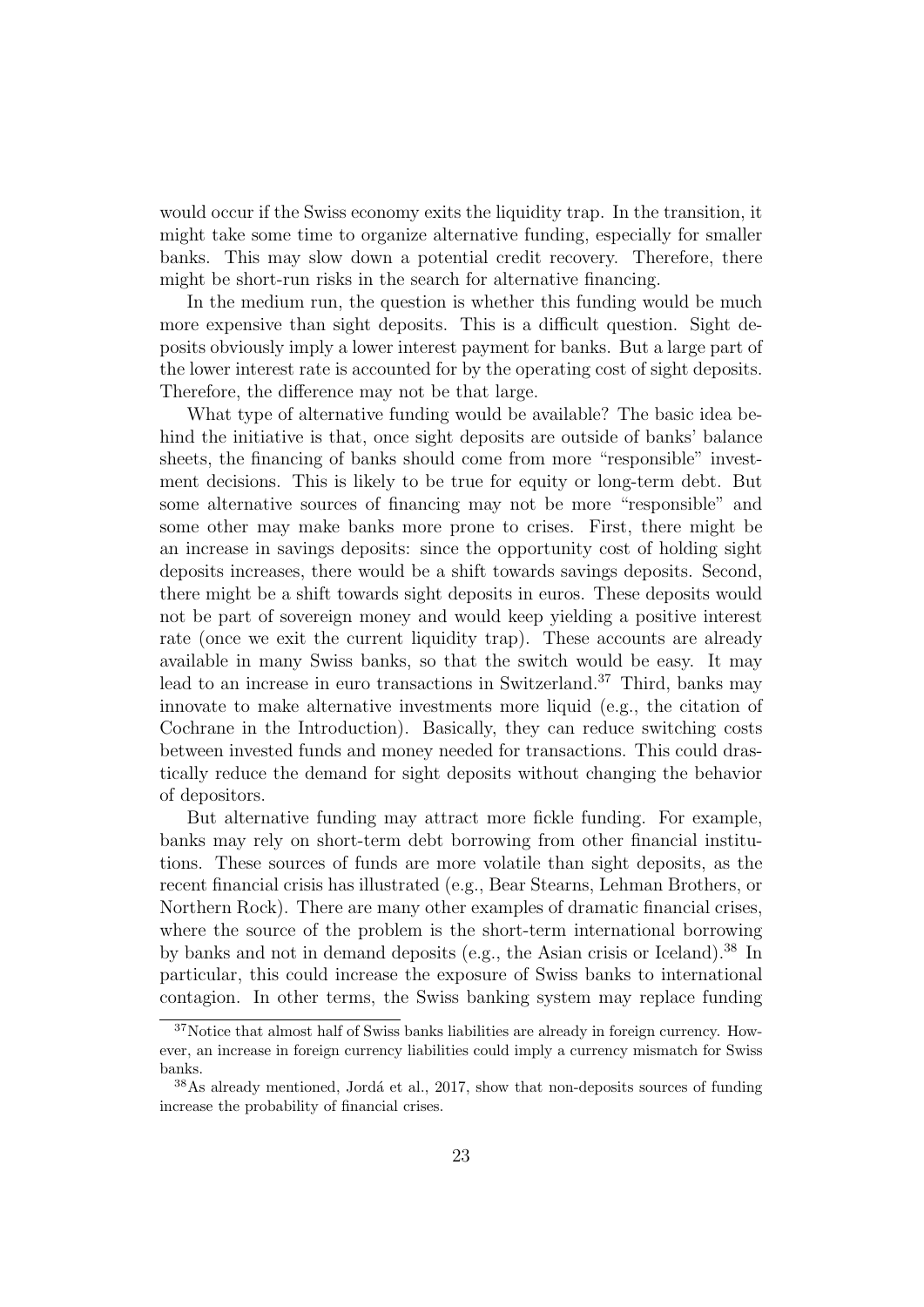would occur if the Swiss economy exits the liquidity trap. In the transition, it might take some time to organize alternative funding, especially for smaller banks. This may slow down a potential credit recovery. Therefore, there might be short-run risks in the search for alternative financing.

In the medium run, the question is whether this funding would be much more expensive than sight deposits. This is a difficult question. Sight deposits obviously imply a lower interest payment for banks. But a large part of the lower interest rate is accounted for by the operating cost of sight deposits. Therefore, the difference may not be that large.

What type of alternative funding would be available? The basic idea behind the initiative is that, once sight deposits are outside of banks' balance sheets, the financing of banks should come from more "responsible" investment decisions. This is likely to be true for equity or long-term debt. But some alternative sources of financing may not be more "responsible" and some other may make banks more prone to crises. First, there might be an increase in savings deposits: since the opportunity cost of holding sight deposits increases, there would be a shift towards savings deposits. Second, there might be a shift towards sight deposits in euros. These deposits would not be part of sovereign money and would keep yielding a positive interest rate (once we exit the current liquidity trap). These accounts are already available in many Swiss banks, so that the switch would be easy. It may lead to an increase in euro transactions in Switzerland.<sup>37</sup> Third, banks may innovate to make alternative investments more liquid (e.g., the citation of Cochrane in the Introduction). Basically, they can reduce switching costs between invested funds and money needed for transactions. This could drastically reduce the demand for sight deposits without changing the behavior of depositors.

But alternative funding may attract more fickle funding. For example, banks may rely on short-term debt borrowing from other financial institutions. These sources of funds are more volatile than sight deposits, as the recent financial crisis has illustrated (e.g., Bear Stearns, Lehman Brothers, or Northern Rock). There are many other examples of dramatic financial crises, where the source of the problem is the short-term international borrowing by banks and not in demand deposits (e.g., the Asian crisis or Iceland).<sup>38</sup> In particular, this could increase the exposure of Swiss banks to international contagion. In other terms, the Swiss banking system may replace funding

<sup>37</sup>Notice that almost half of Swiss banks liabilities are already in foreign currency. However, an increase in foreign currency liabilities could imply a currency mismatch for Swiss banks.

 $38\text{As already mentioned, Jordá et al., } 2017$ , show that non-deposits sources of funding increase the probability of financial crises.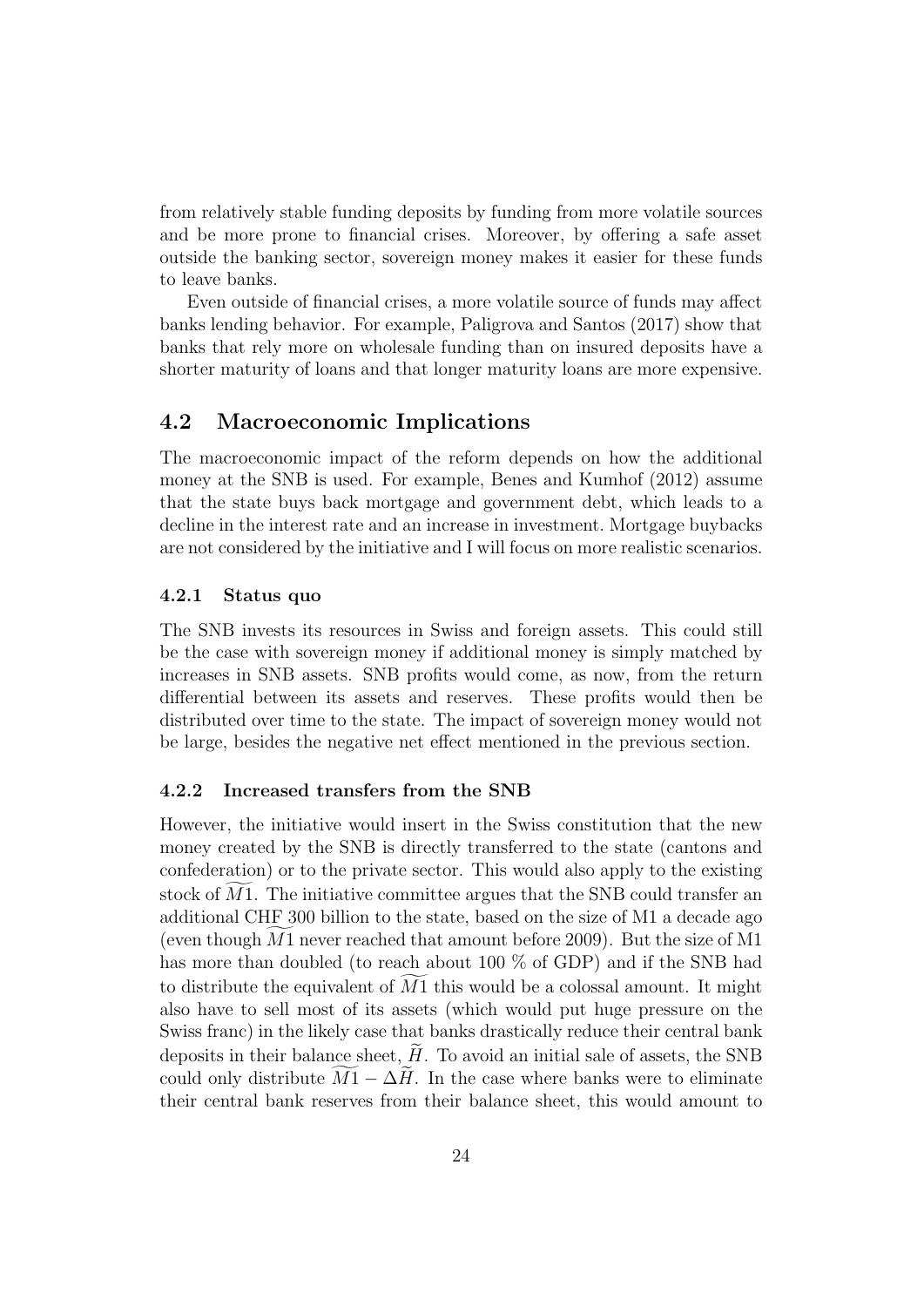from relatively stable funding deposits by funding from more volatile sources and be more prone to financial crises. Moreover, by offering a safe asset outside the banking sector, sovereign money makes it easier for these funds to leave banks.

Even outside of financial crises, a more volatile source of funds may affect banks lending behavior. For example, Paligrova and Santos (2017) show that banks that rely more on wholesale funding than on insured deposits have a shorter maturity of loans and that longer maturity loans are more expensive.

## 4.2 Macroeconomic Implications

The macroeconomic impact of the reform depends on how the additional money at the SNB is used. For example, Benes and Kumhof (2012) assume that the state buys back mortgage and government debt, which leads to a decline in the interest rate and an increase in investment. Mortgage buybacks are not considered by the initiative and I will focus on more realistic scenarios.

## 4.2.1 Status quo

The SNB invests its resources in Swiss and foreign assets. This could still be the case with sovereign money if additional money is simply matched by increases in SNB assets. SNB profits would come, as now, from the return differential between its assets and reserves. These profits would then be distributed over time to the state. The impact of sovereign money would not be large, besides the negative net effect mentioned in the previous section.

#### 4.2.2 Increased transfers from the SNB

However, the initiative would insert in the Swiss constitution that the new money created by the SNB is directly transferred to the state (cantons and confederation) or to the private sector. This would also apply to the existing stock of  $M1$ . The initiative committee argues that the SNB could transfer an additional CHF 300 billion to the state, based on the size of M1 a decade ago (even though  $M1$  never reached that amount before 2009). But the size of M1 has more than doubled (to reach about 100 % of GDP) and if the SNB had to distribute the equivalent of  $M1$  this would be a colossal amount. It might also have to sell most of its assets (which would put huge pressure on the Swiss franc) in the likely case that banks drastically reduce their central bank deposits in their balance sheet,  $H$ . To avoid an initial sale of assets, the SNB could only distribute  $M_1 - \Delta H$ . In the case where banks were to eliminate their central bank reserves from their balance sheet, this would amount to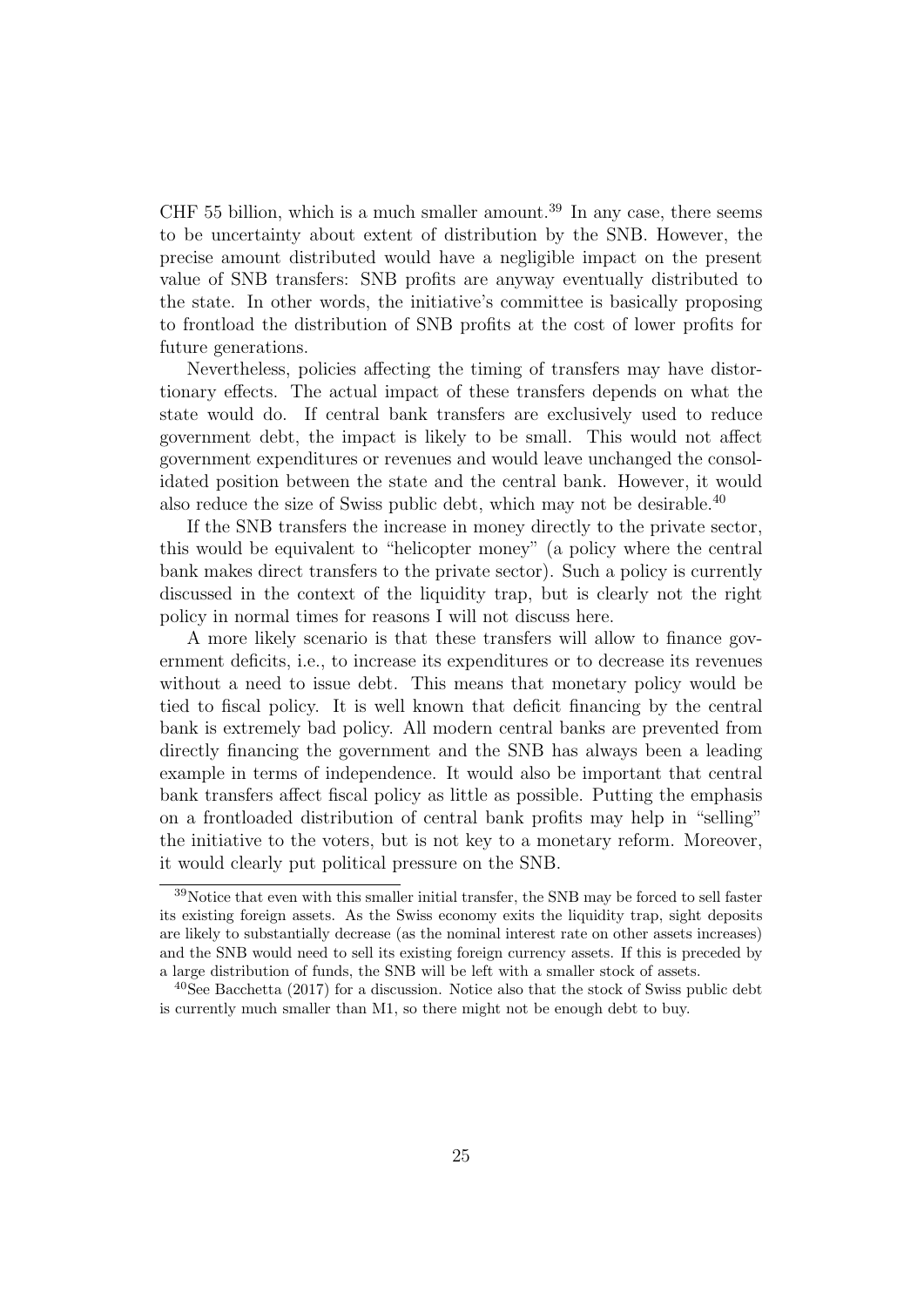CHF 55 billion, which is a much smaller amount.<sup>39</sup> In any case, there seems to be uncertainty about extent of distribution by the SNB. However, the precise amount distributed would have a negligible impact on the present value of SNB transfers: SNB profits are anyway eventually distributed to the state. In other words, the initiative's committee is basically proposing to frontload the distribution of SNB profits at the cost of lower profits for future generations.

Nevertheless, policies affecting the timing of transfers may have distortionary effects. The actual impact of these transfers depends on what the state would do. If central bank transfers are exclusively used to reduce government debt, the impact is likely to be small. This would not affect government expenditures or revenues and would leave unchanged the consolidated position between the state and the central bank. However, it would also reduce the size of Swiss public debt, which may not be desirable.<sup>40</sup>

If the SNB transfers the increase in money directly to the private sector, this would be equivalent to "helicopter money" (a policy where the central bank makes direct transfers to the private sector). Such a policy is currently discussed in the context of the liquidity trap, but is clearly not the right policy in normal times for reasons I will not discuss here.

A more likely scenario is that these transfers will allow to finance government deficits, i.e., to increase its expenditures or to decrease its revenues without a need to issue debt. This means that monetary policy would be tied to fiscal policy. It is well known that deficit financing by the central bank is extremely bad policy. All modern central banks are prevented from directly financing the government and the SNB has always been a leading example in terms of independence. It would also be important that central bank transfers affect fiscal policy as little as possible. Putting the emphasis on a frontloaded distribution of central bank profits may help in "selling" the initiative to the voters, but is not key to a monetary reform. Moreover, it would clearly put political pressure on the SNB.

<sup>39</sup>Notice that even with this smaller initial transfer, the SNB may be forced to sell faster its existing foreign assets. As the Swiss economy exits the liquidity trap, sight deposits are likely to substantially decrease (as the nominal interest rate on other assets increases) and the SNB would need to sell its existing foreign currency assets. If this is preceded by a large distribution of funds, the SNB will be left with a smaller stock of assets.

<sup>&</sup>lt;sup>40</sup>See Bacchetta (2017) for a discussion. Notice also that the stock of Swiss public debt is currently much smaller than M1, so there might not be enough debt to buy.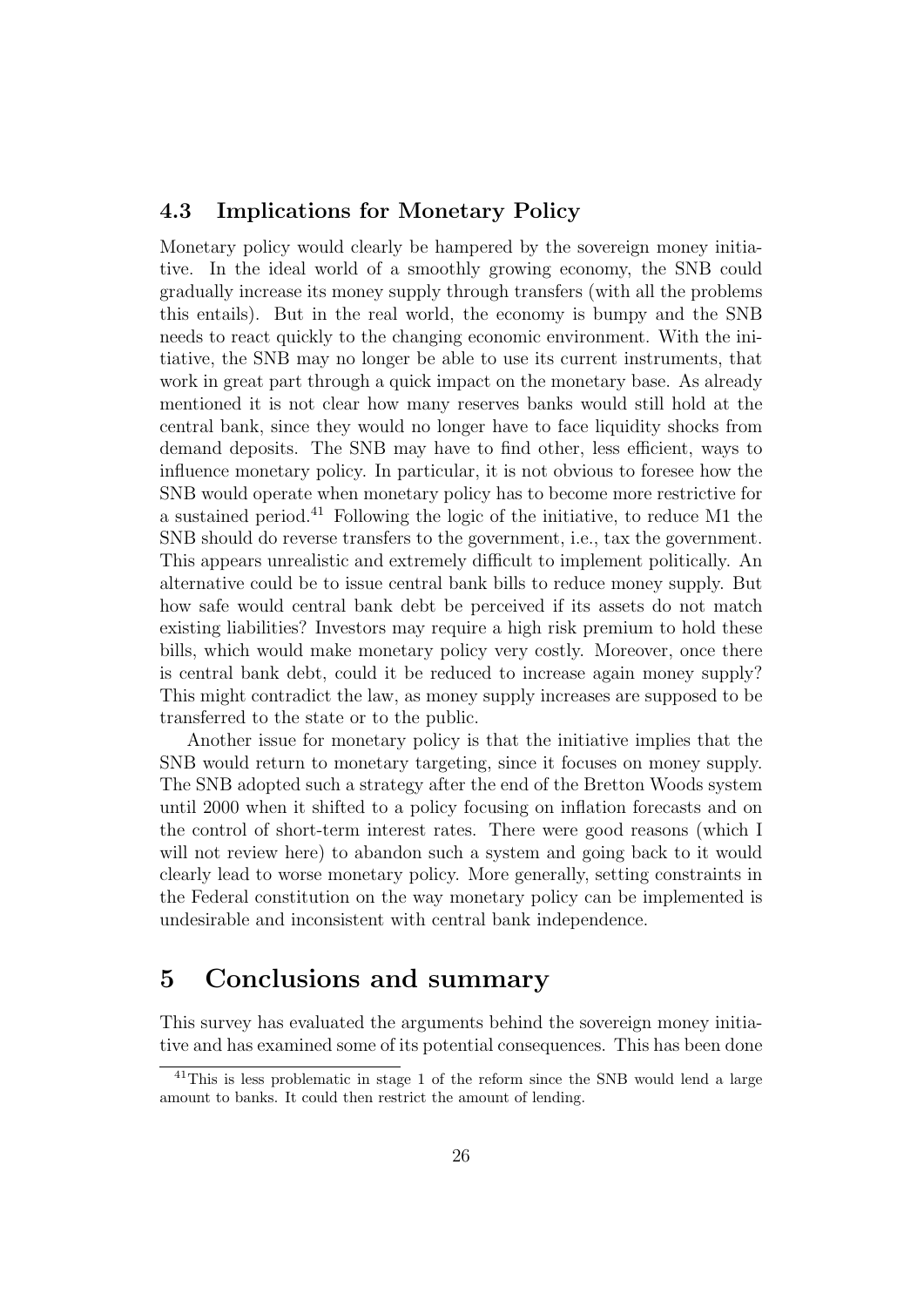## 4.3 Implications for Monetary Policy

Monetary policy would clearly be hampered by the sovereign money initiative. In the ideal world of a smoothly growing economy, the SNB could gradually increase its money supply through transfers (with all the problems this entails). But in the real world, the economy is bumpy and the SNB needs to react quickly to the changing economic environment. With the initiative, the SNB may no longer be able to use its current instruments, that work in great part through a quick impact on the monetary base. As already mentioned it is not clear how many reserves banks would still hold at the central bank, since they would no longer have to face liquidity shocks from demand deposits. The SNB may have to find other, less efficient, ways to influence monetary policy. In particular, it is not obvious to foresee how the SNB would operate when monetary policy has to become more restrictive for a sustained period.<sup>41</sup> Following the logic of the initiative, to reduce M1 the SNB should do reverse transfers to the government, i.e., tax the government. This appears unrealistic and extremely difficult to implement politically. An alternative could be to issue central bank bills to reduce money supply. But how safe would central bank debt be perceived if its assets do not match existing liabilities? Investors may require a high risk premium to hold these bills, which would make monetary policy very costly. Moreover, once there is central bank debt, could it be reduced to increase again money supply? This might contradict the law, as money supply increases are supposed to be transferred to the state or to the public.

Another issue for monetary policy is that the initiative implies that the SNB would return to monetary targeting, since it focuses on money supply. The SNB adopted such a strategy after the end of the Bretton Woods system until 2000 when it shifted to a policy focusing on inflation forecasts and on the control of short-term interest rates. There were good reasons (which I will not review here) to abandon such a system and going back to it would clearly lead to worse monetary policy. More generally, setting constraints in the Federal constitution on the way monetary policy can be implemented is undesirable and inconsistent with central bank independence.

# 5 Conclusions and summary

This survey has evaluated the arguments behind the sovereign money initiative and has examined some of its potential consequences. This has been done

<sup>41</sup>This is less problematic in stage 1 of the reform since the SNB would lend a large amount to banks. It could then restrict the amount of lending.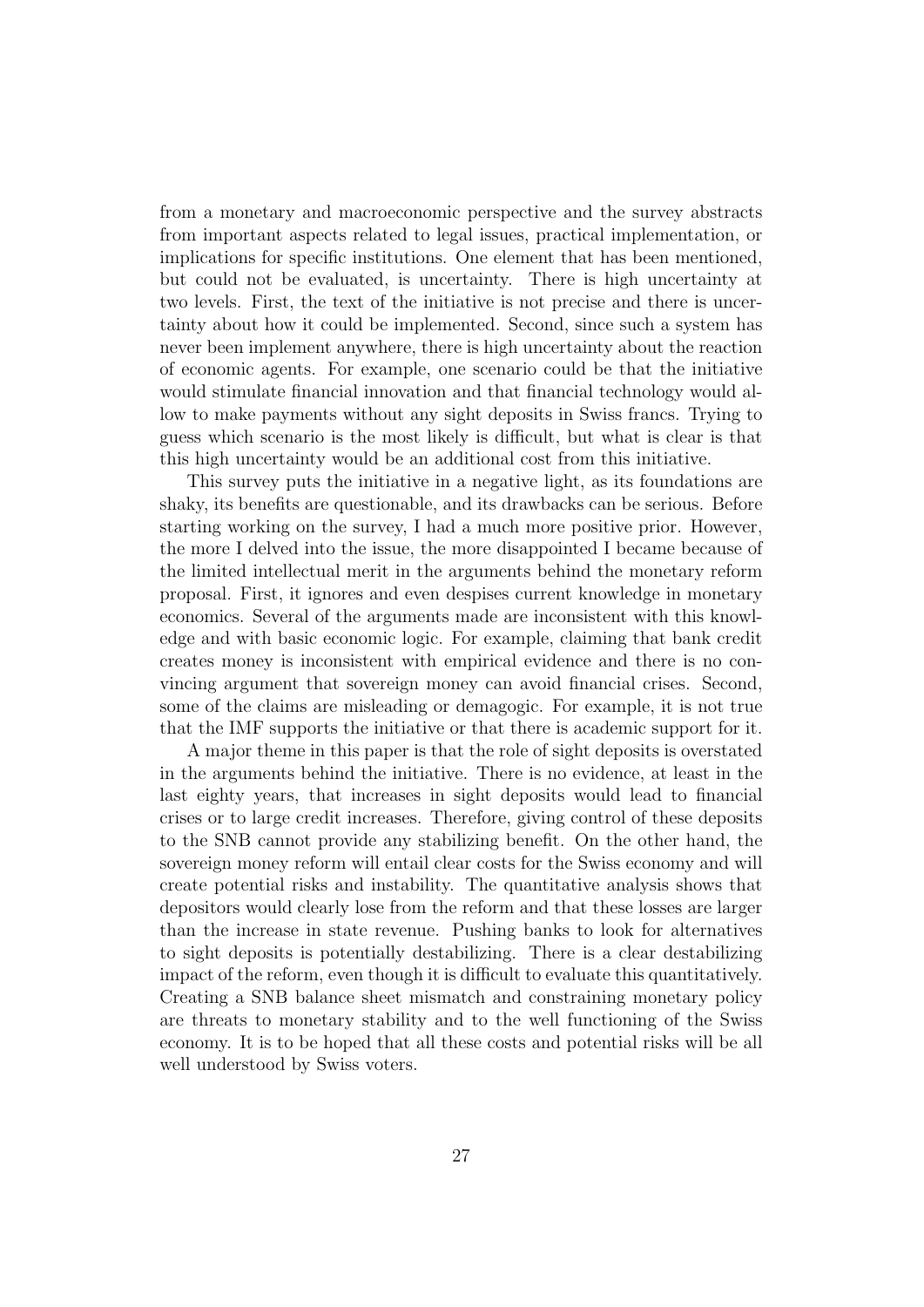from a monetary and macroeconomic perspective and the survey abstracts from important aspects related to legal issues, practical implementation, or implications for specific institutions. One element that has been mentioned, but could not be evaluated, is uncertainty. There is high uncertainty at two levels. First, the text of the initiative is not precise and there is uncertainty about how it could be implemented. Second, since such a system has never been implement anywhere, there is high uncertainty about the reaction of economic agents. For example, one scenario could be that the initiative would stimulate financial innovation and that financial technology would allow to make payments without any sight deposits in Swiss francs. Trying to guess which scenario is the most likely is difficult, but what is clear is that this high uncertainty would be an additional cost from this initiative.

This survey puts the initiative in a negative light, as its foundations are shaky, its benefits are questionable, and its drawbacks can be serious. Before starting working on the survey, I had a much more positive prior. However, the more I delved into the issue, the more disappointed I became because of the limited intellectual merit in the arguments behind the monetary reform proposal. First, it ignores and even despises current knowledge in monetary economics. Several of the arguments made are inconsistent with this knowledge and with basic economic logic. For example, claiming that bank credit creates money is inconsistent with empirical evidence and there is no convincing argument that sovereign money can avoid financial crises. Second, some of the claims are misleading or demagogic. For example, it is not true that the IMF supports the initiative or that there is academic support for it.

A major theme in this paper is that the role of sight deposits is overstated in the arguments behind the initiative. There is no evidence, at least in the last eighty years, that increases in sight deposits would lead to financial crises or to large credit increases. Therefore, giving control of these deposits to the SNB cannot provide any stabilizing benefit. On the other hand, the sovereign money reform will entail clear costs for the Swiss economy and will create potential risks and instability. The quantitative analysis shows that depositors would clearly lose from the reform and that these losses are larger than the increase in state revenue. Pushing banks to look for alternatives to sight deposits is potentially destabilizing. There is a clear destabilizing impact of the reform, even though it is difficult to evaluate this quantitatively. Creating a SNB balance sheet mismatch and constraining monetary policy are threats to monetary stability and to the well functioning of the Swiss economy. It is to be hoped that all these costs and potential risks will be all well understood by Swiss voters.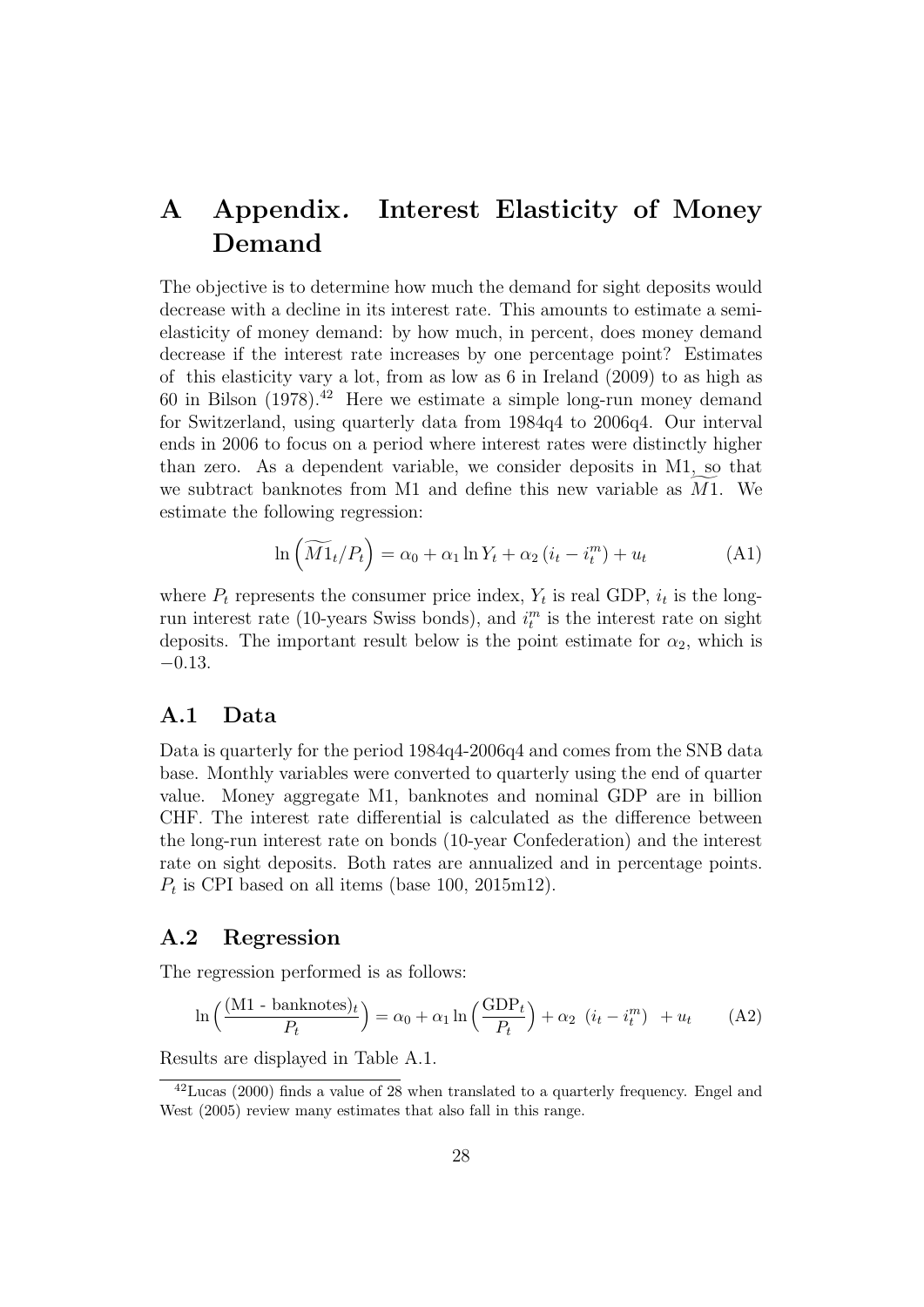# A Appendix. Interest Elasticity of Money Demand

The objective is to determine how much the demand for sight deposits would decrease with a decline in its interest rate. This amounts to estimate a semielasticity of money demand: by how much, in percent, does money demand decrease if the interest rate increases by one percentage point? Estimates of this elasticity vary a lot, from as low as 6 in Ireland (2009) to as high as 60 in Bilson  $(1978)$ .<sup>42</sup> Here we estimate a simple long-run money demand for Switzerland, using quarterly data from 1984q4 to 2006q4. Our interval ends in 2006 to focus on a period where interest rates were distinctly higher than zero. As a dependent variable, we consider deposits in M1, so that we subtract banknotes from M1 and define this new variable as  $M1$ . We estimate the following regression:

$$
\ln\left(\widetilde{M1}_t/P_t\right) = \alpha_0 + \alpha_1 \ln Y_t + \alpha_2 \left(i_t - i_t^m\right) + u_t \tag{A1}
$$

where  $P_t$  represents the consumer price index,  $Y_t$  is real GDP,  $i_t$  is the longrun interest rate (10-years Swiss bonds), and  $i_t^m$  is the interest rate on sight deposits. The important result below is the point estimate for  $\alpha_2$ , which is −0.13.

## A.1 Data

Data is quarterly for the period 1984q4-2006q4 and comes from the SNB data base. Monthly variables were converted to quarterly using the end of quarter value. Money aggregate M1, banknotes and nominal GDP are in billion CHF. The interest rate differential is calculated as the difference between the long-run interest rate on bonds (10-year Confederation) and the interest rate on sight deposits. Both rates are annualized and in percentage points.  $P_t$  is CPI based on all items (base 100, 2015m12).

## A.2 Regression

The regression performed is as follows:

$$
\ln\left(\frac{(M1 - \text{banknotes})_t}{P_t}\right) = \alpha_0 + \alpha_1 \ln\left(\frac{\text{GDP}_t}{P_t}\right) + \alpha_2 \ (i_t - i_t^m) + u_t \tag{A2}
$$

Results are displayed in Table A.1.

<sup>42</sup>Lucas (2000) finds a value of 28 when translated to a quarterly frequency. Engel and West (2005) review many estimates that also fall in this range.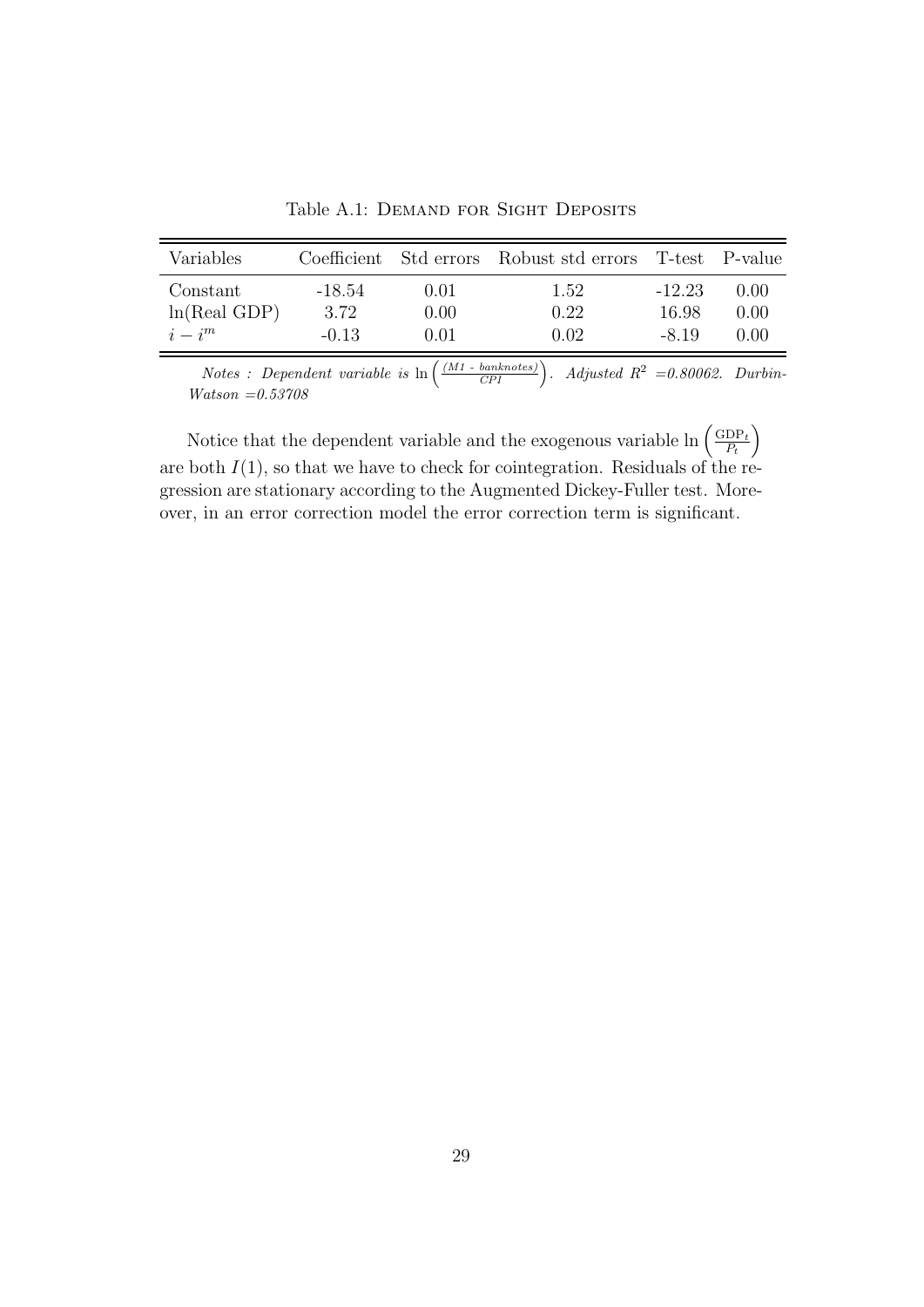| Variables                                                                                                                                                                                     |         |      | Coefficient Std errors Robust std errors T-test P-value |          |      |
|-----------------------------------------------------------------------------------------------------------------------------------------------------------------------------------------------|---------|------|---------------------------------------------------------|----------|------|
| Constant                                                                                                                                                                                      | -18.54  | 0.01 | 1.52                                                    | $-12.23$ | 0.00 |
| ln(Real GDP)                                                                                                                                                                                  | 3.72    | 0.00 | 0.22                                                    | 16.98    | 0.00 |
| $i-i^m$                                                                                                                                                                                       | $-0.13$ | 0.01 | 0.02                                                    | $-8.19$  | 0.00 |
| $N_{\rm t}$ $\sim$ $N_{\rm t}$ $\sim$ $11 \cdot$ $\sim$ $1$ $\left(\text{M1 - banknotes)}\right)$ $\sim$ $11 \cdot$ $\sim$ $11 \cdot$ $\text{D}^2$ $\sim$ 0.00000 $\text{D}$ $\sim$ $1 \cdot$ |         |      |                                                         |          |      |

Table A.1: DEMAND FOR SIGHT DEPOSITS

Notes : Dependent variable is  $\ln\left(\frac{(M1 - banknotes)}{CPI}\right)$ . Adjusted  $R^2 = 0.80062$ . Durbin- $Watson$   $=$   $\!0.53708$ 

Notice that the dependent variable and the exogenous variable  $\ln \left( \frac{GDP_t}{P_t} \right)$  $P_t$  $\lambda$ are both  $I(1)$ , so that we have to check for cointegration. Residuals of the regression are stationary according to the Augmented Dickey-Fuller test. Moreover, in an error correction model the error correction term is significant.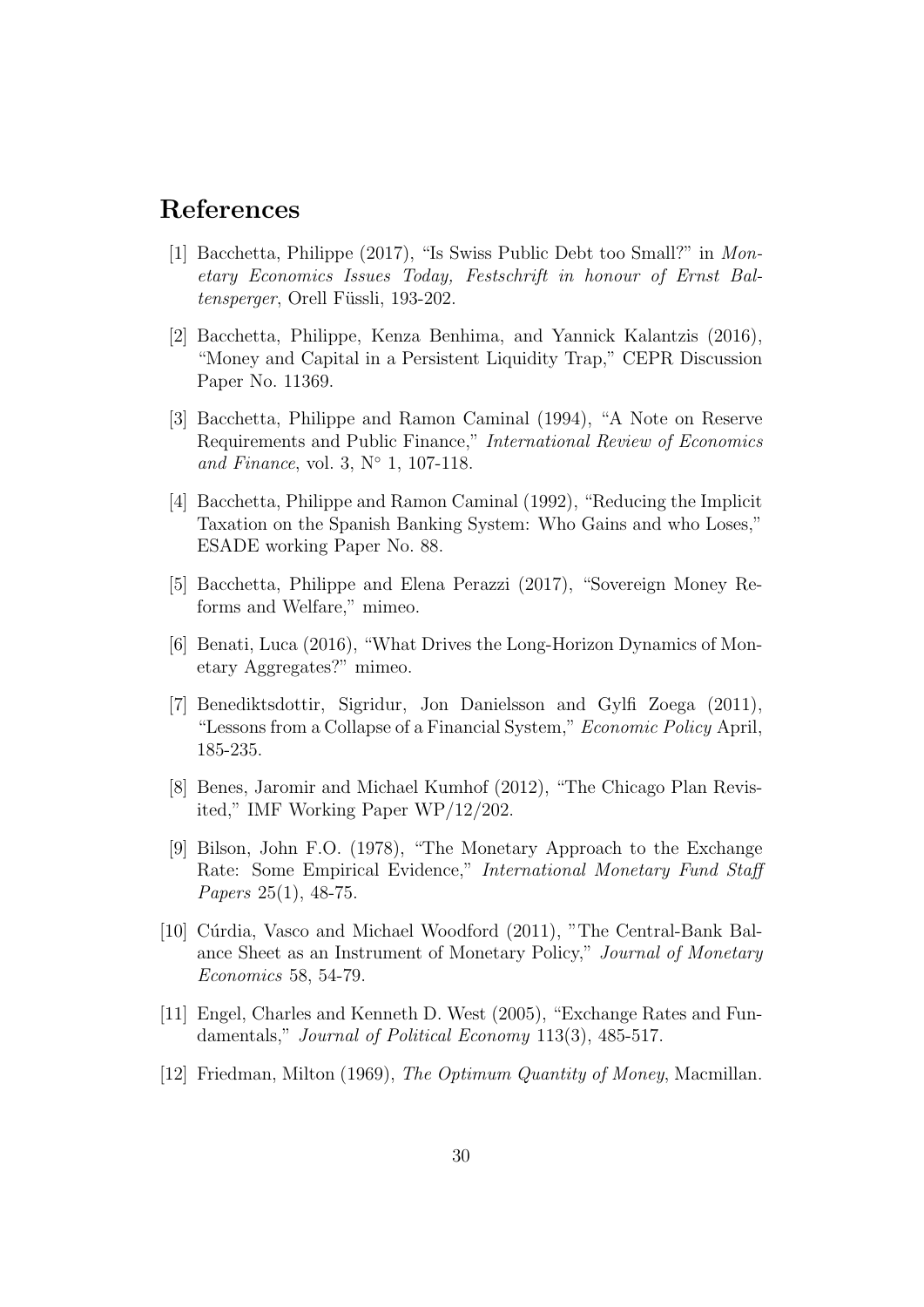# References

- [1] Bacchetta, Philippe (2017), "Is Swiss Public Debt too Small?" in Monetary Economics Issues Today, Festschrift in honour of Ernst Baltensperger, Orell Füssli, 193-202.
- [2] Bacchetta, Philippe, Kenza Benhima, and Yannick Kalantzis (2016), "Money and Capital in a Persistent Liquidity Trap," CEPR Discussion Paper No. 11369.
- [3] Bacchetta, Philippe and Ramon Caminal (1994), "A Note on Reserve Requirements and Public Finance," International Review of Economics and Finance, vol. 3, N◦ 1, 107-118.
- [4] Bacchetta, Philippe and Ramon Caminal (1992), "Reducing the Implicit Taxation on the Spanish Banking System: Who Gains and who Loses," ESADE working Paper No. 88.
- [5] Bacchetta, Philippe and Elena Perazzi (2017), "Sovereign Money Reforms and Welfare," mimeo.
- [6] Benati, Luca (2016), "What Drives the Long-Horizon Dynamics of Monetary Aggregates?" mimeo.
- [7] Benediktsdottir, Sigridur, Jon Danielsson and Gylfi Zoega (2011), "Lessons from a Collapse of a Financial System," Economic Policy April, 185-235.
- [8] Benes, Jaromir and Michael Kumhof (2012), "The Chicago Plan Revisited," IMF Working Paper WP/12/202.
- [9] Bilson, John F.O. (1978), "The Monetary Approach to the Exchange Rate: Some Empirical Evidence," International Monetary Fund Staff Papers 25(1), 48-75.
- [10] Cúrdia, Vasco and Michael Woodford (2011), "The Central-Bank Balance Sheet as an Instrument of Monetary Policy," Journal of Monetary Economics 58, 54-79.
- [11] Engel, Charles and Kenneth D. West (2005), "Exchange Rates and Fundamentals," Journal of Political Economy 113(3), 485-517.
- [12] Friedman, Milton (1969), The Optimum Quantity of Money, Macmillan.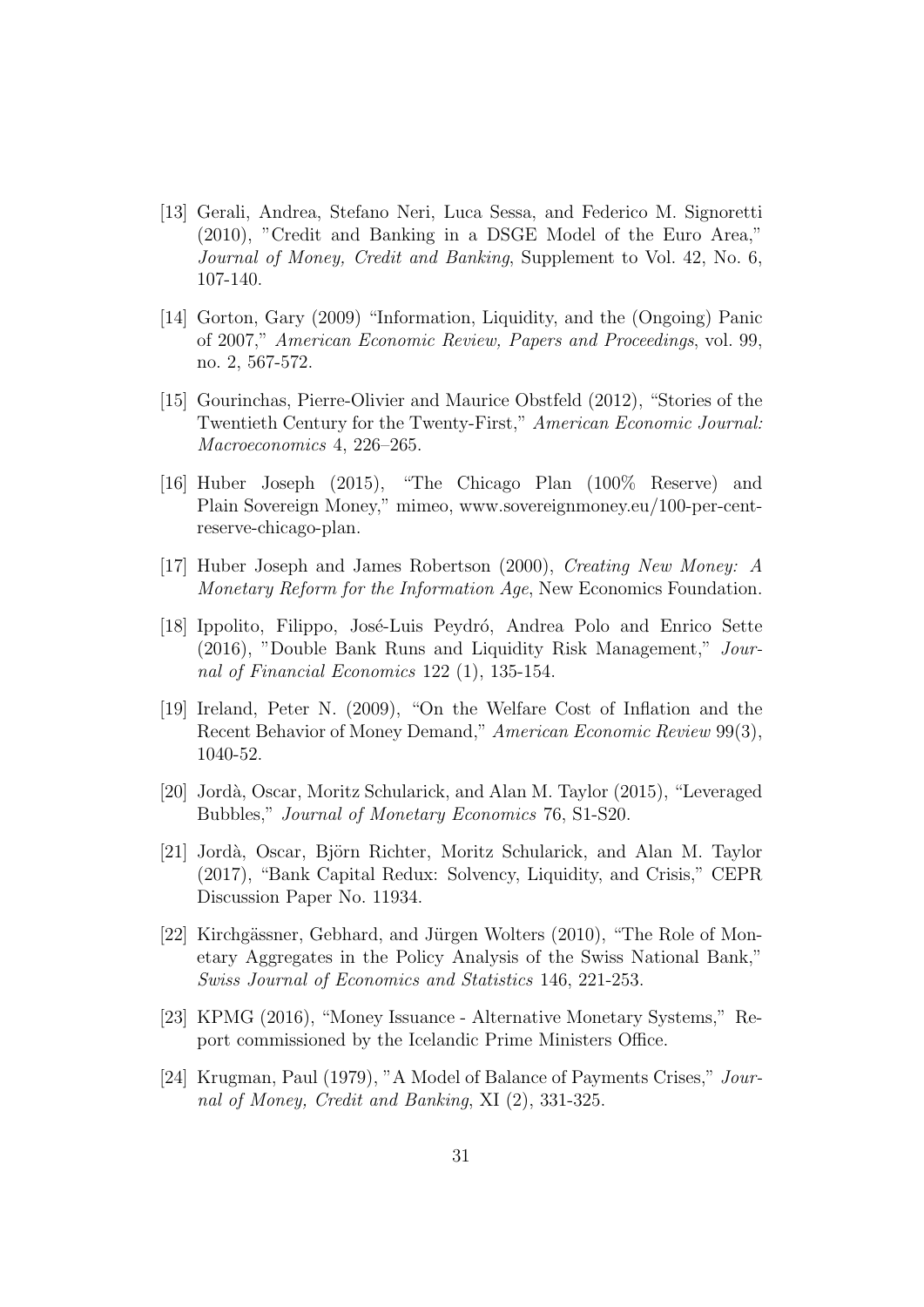- [13] Gerali, Andrea, Stefano Neri, Luca Sessa, and Federico M. Signoretti (2010), "Credit and Banking in a DSGE Model of the Euro Area," Journal of Money, Credit and Banking, Supplement to Vol. 42, No. 6, 107-140.
- [14] Gorton, Gary (2009) "Information, Liquidity, and the (Ongoing) Panic of 2007," American Economic Review, Papers and Proceedings, vol. 99, no. 2, 567-572.
- [15] Gourinchas, Pierre-Olivier and Maurice Obstfeld (2012), "Stories of the Twentieth Century for the Twenty-First," American Economic Journal: Macroeconomics 4, 226–265.
- [16] Huber Joseph (2015), "The Chicago Plan (100% Reserve) and Plain Sovereign Money," mimeo, www.sovereignmoney.eu/100-per-centreserve-chicago-plan.
- [17] Huber Joseph and James Robertson (2000), Creating New Money: A Monetary Reform for the Information Age, New Economics Foundation.
- [18] Ippolito, Filippo, José-Luis Peydró, Andrea Polo and Enrico Sette (2016), "Double Bank Runs and Liquidity Risk Management," Journal of Financial Economics 122 (1), 135-154.
- [19] Ireland, Peter N. (2009), "On the Welfare Cost of Inflation and the Recent Behavior of Money Demand," American Economic Review 99(3), 1040-52.
- [20] Jord`a, Oscar, Moritz Schularick, and Alan M. Taylor (2015), "Leveraged Bubbles," Journal of Monetary Economics 76, S1-S20.
- [21] Jordà, Oscar, Björn Richter, Moritz Schularick, and Alan M. Taylor (2017), "Bank Capital Redux: Solvency, Liquidity, and Crisis," CEPR Discussion Paper No. 11934.
- [22] Kirchgässner, Gebhard, and Jürgen Wolters (2010), "The Role of Monetary Aggregates in the Policy Analysis of the Swiss National Bank," Swiss Journal of Economics and Statistics 146, 221-253.
- [23] KPMG (2016), "Money Issuance Alternative Monetary Systems," Report commissioned by the Icelandic Prime Ministers Office.
- [24] Krugman, Paul (1979), "A Model of Balance of Payments Crises," Journal of Money, Credit and Banking, XI (2), 331-325.